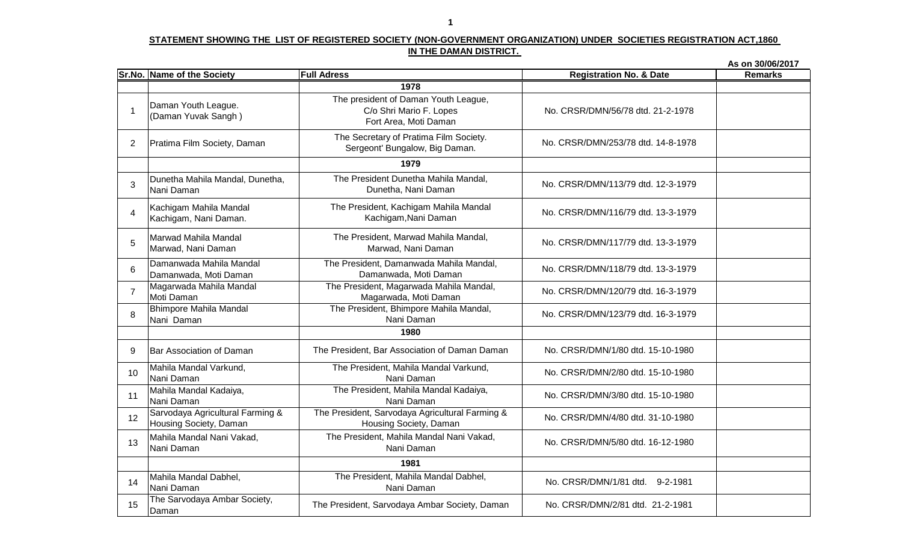**As on 30/06/2017Sr.No. Name of the Society Full Adress**<u>**Registration No. & Date** Remarks</u> 1 Daman Youth League. (Daman Yuvak Sangh )<sup>2</sup> Pratima Film Society, Daman3Dunetha Mahila Mandal, Dunetha,<br>Nani Daman 4 Kachigam Mahila Mandal Kachigam, Nani Daman.5 Marwad Mahila Mandal Marwad, Nani Daman6Damanwada Mahila Mandal<br>Damanwada, Moti Daman 7 Magarwada Mahila Mandal<br>Moti Daman 78 Bhimpore Mahila Mandal<br>Nani Daman 89 Bar Association of Daman 10 Mahila Mandal Varkund, Nani Daman1 Mahila Mandal Kadaiya,<br>1 Nani Daman 11 $\begin{array}{c|c} \mathsf{S} & \mathsf{S} \end{array}$  Sarvodaya Agricultural Farming & 123 Mahila Mandal Nani Vakad,<br>Nani Daman 1314 Mahila Mandal Dabhel, Nani Daman5 The Sarvodaya Ambar Society,<br>Daman 15**1981** The President, Mahila Mandal Dabhel,The President, Mahila Mandal Nani Vakad,Nani DamanThe President, Mahila Mandal Kadaiya, Nani Daman No. CRSR/DMN/3/80 dtd. 15-10-1980 The President, Sarvodaya Agricultural Farming & Housing Society, Daman No. CRSR/DMN/4/80 dtd. 31-10-1980 The President, Mahila Mandal Varkund,Nani Daman**1980**The Secretary of Pratima Film Society. Sergeont' Bungalow, Big Daman. No. CRSR/DMN/253/78 dtd. 14-8-1978 The President Dunetha Mahila Mandal,Dunetha, Nani Daman No. CRSR/DMN/113/79 dtd. 12-3-1979 The President, Kachigam Mahila MandalKachigam,Nani Daman No. CRSR/DMN/116/79 dtd. 13-3-1979 **1979**No. CRSR/DMN/2/80 dtd. 15-10-1980The President, Marwad Mahila Mandal,Marwad, Nani Daman The President, Damanwada Mahila Mandal,No. CRSR/DMN/120/79 dtd. 16-3-1979The president of Daman Youth League, C/o Shri Mario F. Lopes Fort Area, Moti DamanNo. CRSR/DMN/56/78 dtd. 21-2-1978**1978**No. CRSR/DMN/1/80 dtd. 15-10-1980No. CRSR/DMN/117/79 dtd. 13-3-1979No. CRSR/DMN/118/79 dtd. 13-3-1979The President, Magarwada Mahila Mandal, Magarwada, Moti Daman The President, Bhimpore Mahila Mandal,Damanwada, Moti DamanNani DamanThe President, Sarvodaya Ambar Society, Daman No. CRSR/DMN/2/81 dtd. 21-2-1981 No. CRSR/DMN/1/81 dtd. 9-2-1981No. CRSR/DMN/5/80 dtd. 16-12-1980Nani Daman No. CRSR/DMN/123/79 dtd. 16-3-1979 The President, Bar Association of Daman Daman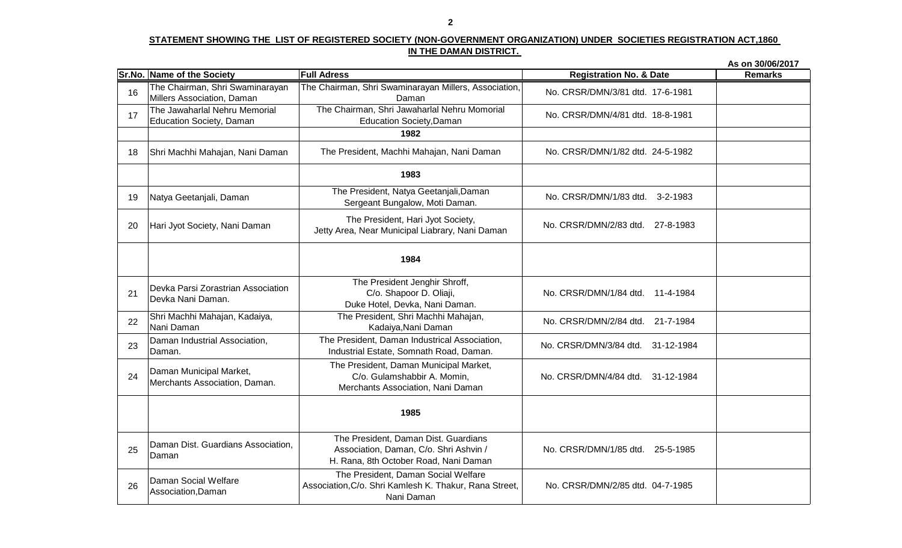|    |                                                                  |                                                                                                                         |                                     | As on 30/06/2017 |
|----|------------------------------------------------------------------|-------------------------------------------------------------------------------------------------------------------------|-------------------------------------|------------------|
|    | Sr.No. Name of the Society                                       | <b>Full Adress</b>                                                                                                      | <b>Registration No. &amp; Date</b>  | <b>Remarks</b>   |
| 16 | The Chairman, Shri Swaminarayan<br>Millers Association, Daman    | The Chairman, Shri Swaminarayan Millers, Association,<br>Daman                                                          | No. CRSR/DMN/3/81 dtd. 17-6-1981    |                  |
| 17 | The Jawaharlal Nehru Memorial<br><b>Education Society, Daman</b> | The Chairman, Shri Jawaharlal Nehru Momorial<br><b>Education Society, Daman</b>                                         | No. CRSR/DMN/4/81 dtd. 18-8-1981    |                  |
|    |                                                                  | 1982                                                                                                                    |                                     |                  |
| 18 | Shri Machhi Mahajan, Nani Daman                                  | The President, Machhi Mahajan, Nani Daman                                                                               | No. CRSR/DMN/1/82 dtd. 24-5-1982    |                  |
|    |                                                                  | 1983                                                                                                                    |                                     |                  |
| 19 | Natya Geetanjali, Daman                                          | The President, Natya Geetanjali, Daman<br>Sergeant Bungalow, Moti Daman.                                                | No. CRSR/DMN/1/83 dtd. 3-2-1983     |                  |
| 20 | Hari Jyot Society, Nani Daman                                    | The President, Hari Jyot Society,<br>Jetty Area, Near Municipal Liabrary, Nani Daman                                    | No. CRSR/DMN/2/83 dtd.<br>27-8-1983 |                  |
|    |                                                                  | 1984                                                                                                                    |                                     |                  |
| 21 | Devka Parsi Zorastrian Association<br>Devka Nani Daman.          | The President Jenghir Shroff,<br>C/o. Shapoor D. Oliaji,<br>Duke Hotel, Devka, Nani Daman.                              | No. CRSR/DMN/1/84 dtd. 11-4-1984    |                  |
| 22 | Shri Machhi Mahajan, Kadaiya,<br>Nani Daman                      | The President, Shri Machhi Mahajan,<br>Kadaiya, Nani Daman                                                              | No. CRSR/DMN/2/84 dtd. 21-7-1984    |                  |
| 23 | Daman Industrial Association,<br>Daman.                          | The President, Daman Industrical Association,<br>Industrial Estate, Somnath Road, Daman.                                | No. CRSR/DMN/3/84 dtd. 31-12-1984   |                  |
| 24 | Daman Municipal Market,<br>Merchants Association, Daman.         | The President, Daman Municipal Market,<br>C/o. Gulamshabbir A. Momin,<br>Merchants Association, Nani Daman              | No. CRSR/DMN/4/84 dtd. 31-12-1984   |                  |
|    |                                                                  | 1985                                                                                                                    |                                     |                  |
| 25 | Daman Dist. Guardians Association,<br>Daman                      | The President, Daman Dist. Guardians<br>Association, Daman, C/o. Shri Ashvin /<br>H. Rana, 8th October Road, Nani Daman | No. CRSR/DMN/1/85 dtd. 25-5-1985    |                  |
| 26 | Daman Social Welfare<br>Association, Daman                       | The President, Daman Social Welfare<br>Association, C/o. Shri Kamlesh K. Thakur, Rana Street,<br>Nani Daman             | No. CRSR/DMN/2/85 dtd. 04-7-1985    |                  |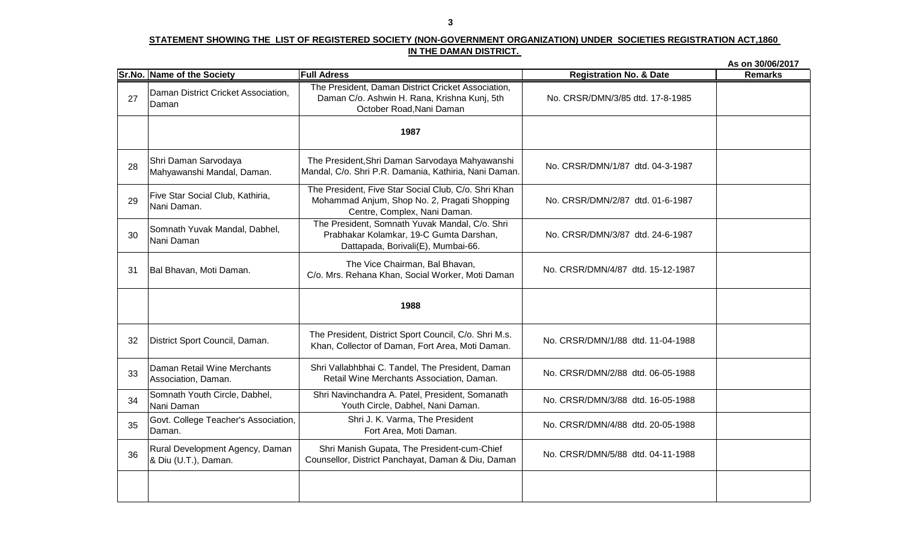|    |                                                         |                                                                                                                                      |                                    | As on 30/06/2017 |
|----|---------------------------------------------------------|--------------------------------------------------------------------------------------------------------------------------------------|------------------------------------|------------------|
|    | Sr.No. Name of the Society                              | <b>Full Adress</b>                                                                                                                   | <b>Registration No. &amp; Date</b> | <b>Remarks</b>   |
| 27 | Daman District Cricket Association,<br>Daman            | The President, Daman District Cricket Association,<br>Daman C/o. Ashwin H. Rana, Krishna Kunj, 5th<br>October Road, Nani Daman       | No. CRSR/DMN/3/85 dtd. 17-8-1985   |                  |
|    |                                                         | 1987                                                                                                                                 |                                    |                  |
| 28 | Shri Daman Sarvodaya<br>Mahyawanshi Mandal, Daman.      | The President, Shri Daman Sarvodaya Mahyawanshi<br>Mandal, C/o. Shri P.R. Damania, Kathiria, Nani Daman.                             | No. CRSR/DMN/1/87 dtd. 04-3-1987   |                  |
| 29 | Five Star Social Club, Kathiria,<br>Nani Daman.         | The President, Five Star Social Club, C/o. Shri Khan<br>Mohammad Anjum, Shop No. 2, Pragati Shopping<br>Centre, Complex, Nani Daman. | No. CRSR/DMN/2/87 dtd. 01-6-1987   |                  |
| 30 | Somnath Yuvak Mandal, Dabhel,<br>Nani Daman             | The President, Somnath Yuvak Mandal, C/o. Shri<br>Prabhakar Kolamkar, 19-C Gumta Darshan,<br>Dattapada, Borivali(E), Mumbai-66.      | No. CRSR/DMN/3/87 dtd. 24-6-1987   |                  |
| 31 | Bal Bhavan, Moti Daman.                                 | The Vice Chairman, Bal Bhavan,<br>C/o. Mrs. Rehana Khan, Social Worker, Moti Daman                                                   | No. CRSR/DMN/4/87 dtd. 15-12-1987  |                  |
|    |                                                         | 1988                                                                                                                                 |                                    |                  |
| 32 | District Sport Council, Daman.                          | The President, District Sport Council, C/o. Shri M.s.<br>Khan, Collector of Daman, Fort Area, Moti Daman.                            | No. CRSR/DMN/1/88 dtd. 11-04-1988  |                  |
| 33 | Daman Retail Wine Merchants<br>Association, Daman.      | Shri Vallabhbhai C. Tandel, The President, Daman<br>Retail Wine Merchants Association, Daman.                                        | No. CRSR/DMN/2/88 dtd. 06-05-1988  |                  |
| 34 | Somnath Youth Circle, Dabhel,<br>Nani Daman             | Shri Navinchandra A. Patel, President, Somanath<br>Youth Circle, Dabhel, Nani Daman.                                                 | No. CRSR/DMN/3/88 dtd. 16-05-1988  |                  |
| 35 | Govt. College Teacher's Association,<br>Daman.          | Shri J. K. Varma, The President<br>Fort Area, Moti Daman.                                                                            | No. CRSR/DMN/4/88 dtd. 20-05-1988  |                  |
| 36 | Rural Development Agency, Daman<br>& Diu (U.T.), Daman. | Shri Manish Gupata, The President-cum-Chief<br>Counsellor, District Panchayat, Daman & Diu, Daman                                    | No. CRSR/DMN/5/88 dtd. 04-11-1988  |                  |
|    |                                                         |                                                                                                                                      |                                    |                  |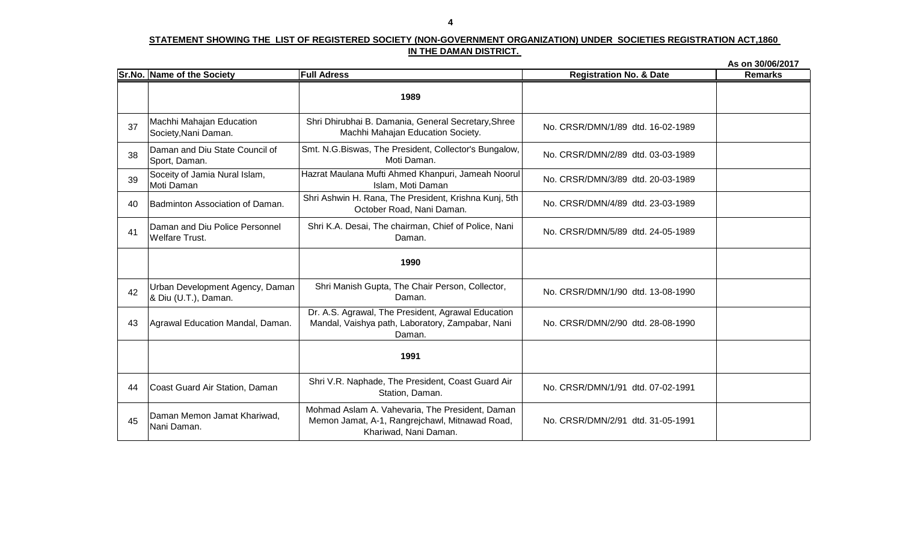|    |                                                         |                                                                                                                            |                                    | As on 30/06/2017 |
|----|---------------------------------------------------------|----------------------------------------------------------------------------------------------------------------------------|------------------------------------|------------------|
|    | Sr.No. Name of the Society                              | <b>Full Adress</b>                                                                                                         | <b>Registration No. &amp; Date</b> | <b>Remarks</b>   |
|    |                                                         | 1989                                                                                                                       |                                    |                  |
| 37 | Machhi Mahajan Education<br>Society, Nani Daman.        | Shri Dhirubhai B. Damania, General Secretary, Shree<br>Machhi Mahajan Education Society.                                   | No. CRSR/DMN/1/89 dtd. 16-02-1989  |                  |
| 38 | Daman and Diu State Council of<br>Sport, Daman.         | Smt. N.G.Biswas, The President, Collector's Bungalow,<br>Moti Daman.                                                       | No. CRSR/DMN/2/89 dtd. 03-03-1989  |                  |
| 39 | Soceity of Jamia Nural Islam,<br>Moti Daman             | Hazrat Maulana Mufti Ahmed Khanpuri, Jameah Noorul<br>Islam, Moti Daman                                                    | No. CRSR/DMN/3/89 dtd. 20-03-1989  |                  |
| 40 | Badminton Association of Daman.                         | Shri Ashwin H. Rana, The President, Krishna Kunj, 5th<br>October Road, Nani Daman.                                         | No. CRSR/DMN/4/89 dtd. 23-03-1989  |                  |
| 41 | Daman and Diu Police Personnel<br><b>Welfare Trust.</b> | Shri K.A. Desai, The chairman, Chief of Police, Nani<br>Daman.                                                             | No. CRSR/DMN/5/89 dtd. 24-05-1989  |                  |
|    |                                                         | 1990                                                                                                                       |                                    |                  |
| 42 | Urban Development Agency, Daman<br>& Diu (U.T.), Daman. | Shri Manish Gupta, The Chair Person, Collector,<br>Daman.                                                                  | No. CRSR/DMN/1/90 dtd. 13-08-1990  |                  |
| 43 | Agrawal Education Mandal, Daman.                        | Dr. A.S. Agrawal, The President, Agrawal Education<br>Mandal, Vaishya path, Laboratory, Zampabar, Nani<br>Daman.           | No. CRSR/DMN/2/90 dtd. 28-08-1990  |                  |
|    |                                                         | 1991                                                                                                                       |                                    |                  |
| 44 | Coast Guard Air Station, Daman                          | Shri V.R. Naphade, The President, Coast Guard Air<br>Station, Daman.                                                       | No. CRSR/DMN/1/91 dtd. 07-02-1991  |                  |
| 45 | Daman Memon Jamat Khariwad,<br>Nani Daman.              | Mohmad Aslam A. Vahevaria, The President, Daman<br>Memon Jamat, A-1, Rangrejchawl, Mitnawad Road,<br>Khariwad, Nani Daman. | No. CRSR/DMN/2/91 dtd. 31-05-1991  |                  |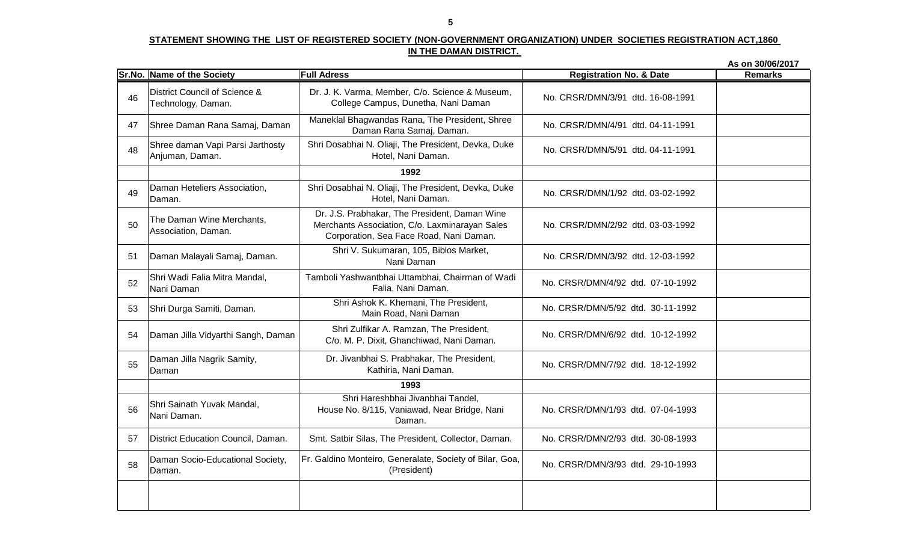|    |                                                     |                                                                                                                                            |                                    | As on 30/06/2017 |
|----|-----------------------------------------------------|--------------------------------------------------------------------------------------------------------------------------------------------|------------------------------------|------------------|
|    | Sr.No. Name of the Society                          | <b>Full Adress</b>                                                                                                                         | <b>Registration No. &amp; Date</b> | <b>Remarks</b>   |
| 46 | District Council of Science &<br>Technology, Daman. | Dr. J. K. Varma, Member, C/o. Science & Museum,<br>College Campus, Dunetha, Nani Daman                                                     | No. CRSR/DMN/3/91 dtd. 16-08-1991  |                  |
| 47 | Shree Daman Rana Samaj, Daman                       | Maneklal Bhagwandas Rana, The President, Shree<br>Daman Rana Samaj, Daman.                                                                 | No. CRSR/DMN/4/91 dtd. 04-11-1991  |                  |
| 48 | Shree daman Vapi Parsi Jarthosty<br>Anjuman, Daman. | Shri Dosabhai N. Oliaji, The President, Devka, Duke<br>Hotel, Nani Daman.                                                                  | No. CRSR/DMN/5/91 dtd. 04-11-1991  |                  |
|    |                                                     | 1992                                                                                                                                       |                                    |                  |
| 49 | Daman Heteliers Association,<br>Daman.              | Shri Dosabhai N. Oliaji, The President, Devka, Duke<br>Hotel, Nani Daman.                                                                  | No. CRSR/DMN/1/92 dtd. 03-02-1992  |                  |
| 50 | The Daman Wine Merchants,<br>Association, Daman.    | Dr. J.S. Prabhakar, The President, Daman Wine<br>Merchants Association, C/o. Laxminarayan Sales<br>Corporation, Sea Face Road, Nani Daman. | No. CRSR/DMN/2/92 dtd. 03-03-1992  |                  |
| 51 | Daman Malayali Samaj, Daman.                        | Shri V. Sukumaran, 105, Biblos Market,<br>Nani Daman                                                                                       | No. CRSR/DMN/3/92 dtd. 12-03-1992  |                  |
| 52 | Shri Wadi Falia Mitra Mandal,<br>Nani Daman         | Tamboli Yashwantbhai Uttambhai, Chairman of Wadi<br>Falia, Nani Daman.                                                                     | No. CRSR/DMN/4/92 dtd. 07-10-1992  |                  |
| 53 | Shri Durga Samiti, Daman.                           | Shri Ashok K. Khemani, The President,<br>Main Road, Nani Daman                                                                             | No. CRSR/DMN/5/92 dtd. 30-11-1992  |                  |
| 54 | Daman Jilla Vidyarthi Sangh, Daman                  | Shri Zulfikar A. Ramzan, The President,<br>C/o. M. P. Dixit, Ghanchiwad, Nani Daman.                                                       | No. CRSR/DMN/6/92 dtd. 10-12-1992  |                  |
| 55 | Daman Jilla Nagrik Samity,<br>Daman                 | Dr. Jivanbhai S. Prabhakar, The President,<br>Kathiria, Nani Daman.                                                                        | No. CRSR/DMN/7/92 dtd. 18-12-1992  |                  |
|    |                                                     | 1993                                                                                                                                       |                                    |                  |
| 56 | Shri Sainath Yuvak Mandal,<br>Nani Daman.           | Shri Hareshbhai Jivanbhai Tandel,<br>House No. 8/115, Vaniawad, Near Bridge, Nani<br>Daman.                                                | No. CRSR/DMN/1/93 dtd. 07-04-1993  |                  |
| 57 | District Education Council, Daman.                  | Smt. Satbir Silas, The President, Collector, Daman.                                                                                        | No. CRSR/DMN/2/93 dtd. 30-08-1993  |                  |
| 58 | Daman Socio-Educational Society,<br>Daman.          | Fr. Galdino Monteiro, Generalate, Society of Bilar, Goa,<br>(President)                                                                    | No. CRSR/DMN/3/93 dtd. 29-10-1993  |                  |
|    |                                                     |                                                                                                                                            |                                    |                  |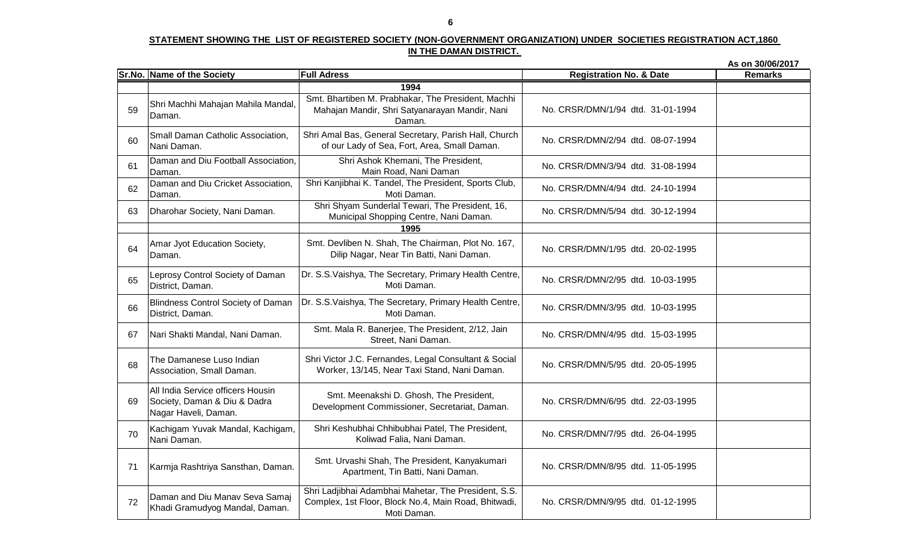#### **STATEMENT SHOWING THE LIST OF REGISTERED SOCIETY (NON-GOVERNMENT ORGANIZATION) UNDER SOCIETIES REGISTRATION ACT,1860 IN THE DAMAN DISTRICT.**

**As on 30/06/2017Sr.No. Name of the Society Full Adress**<u>**Registration No. & Date** Remarks</u> **19781994** Smt. Bhartiben M. Prabhakar, The President, Machhi 59 Shri Machhi Mahajan Mahila Mandal, Daman.60 Small Daman Catholic Association, Nani Daman.61 Daman and Diu Football Association, Daman.2 Daman and Diu Cricket Association,<br>Daman. 6263 Dharohar Society, Nani Daman. 64 Amar Jyot Education Society, Daman.65 Leprosy Control Society of Daman District, Daman.66Blindness Control Society of Daman.<br>District, Daman. 67 Nari Shakti Mandal, Nani Daman. 68The Damanese Luso Indian<br>Association, Small Daman. 69All India Service officers Housin Society, Daman & Diu & Dadra Nagar Haveli, Daman.70Kachigam Yuvak Mandal, Kachigam,<br>Nani Daman. <sup>71</sup> Karmja Rashtriya Sansthan, Daman. 72 Daman and Diu Manav Seva Samaj Khadi Gramudyog Mandal, Daman.No. CRSR/DMN/1/94 dtd. 31-01-1994No. CRSR/DMN/4/94 dtd. 24-10-1994Shri Shyam Sunderlal Tewari, The President, 16, Municipal Shopping Centre, Nani Daman. No. CRSR/DMN/5/94 dtd. 30-12-1994 Smt. Devliben N. Shah, The Chairman, Plot No. 167, Devilben N. Shah, The Chaifman, Nortvo. 107, No. CRSR/DMN/1/95 dtd. 20-02-1995<br>Dilip Nagar, Near Tin Batti, Nani Daman. No. CRSR/DMN/5/95 dtd. 20-05-1995Smt. Meenakshi D. Ghosh, The President, Development Commissioner, Secretariat, Daman. No. CRSR/DMN/6/95 dtd. 22-03-1995 Shri Amal Bas, General Secretary, Parish Hall, Church of our Lady of Sea, Fort, Area, Small Daman. No. CRSR/DMN/2/94 dtd. 08-07-1994 Shri Ashok Khemani, The President, Main Road, Nani Daman No. CRSR/DMN/3/94 dtd. 31-08-1994 No. CRSR/DMN/8/95 dtd. 11-05-1995Shri Ladjibhai Adambhai Mahetar, The President, S.S. Complex, 1st Floor, Block No.4, Main Road, Bhitwadi, Moti Daman.No. CRSR/DMN/9/95 dtd. 01-12-1995Shri Keshubhai Chhibubhai Patel, The President, Koliwad Falia, Nani Daman. No. CRSR/DMN/7/95 dtd. 26-04-1995 Dr. S.S.Vaishya, The Secretary, Primary Health Centre, Moti Daman. No. CRSR/DMN/2/95 dtd. 10-03-1995 Dr. S.S.Vaishya, The Secretary, Primary Health Centre, Moti Daman. No. CRSR/DMN/3/95 dtd. 10-03-1995 Smt. Mala R. Banerjee, The President, 2/12, Jain Street, Nani Daman. No. CRSR/DMN/4/95 dtd. 15-03-1995 Mahajan Mandir, Shri Satyanarayan Mandir, Nani Daman.**1995**Smt. Urvashi Shah, The President, Kanyakumari Apartment, Tin Batti, Nani Daman.Shri Victor J.C. Fernandes, Legal Consultant & Social Worker, 13/145, Near Taxi Stand, Nani Daman.Shri Kanjibhai K. Tandel, The President, Sports Club, Moti Daman.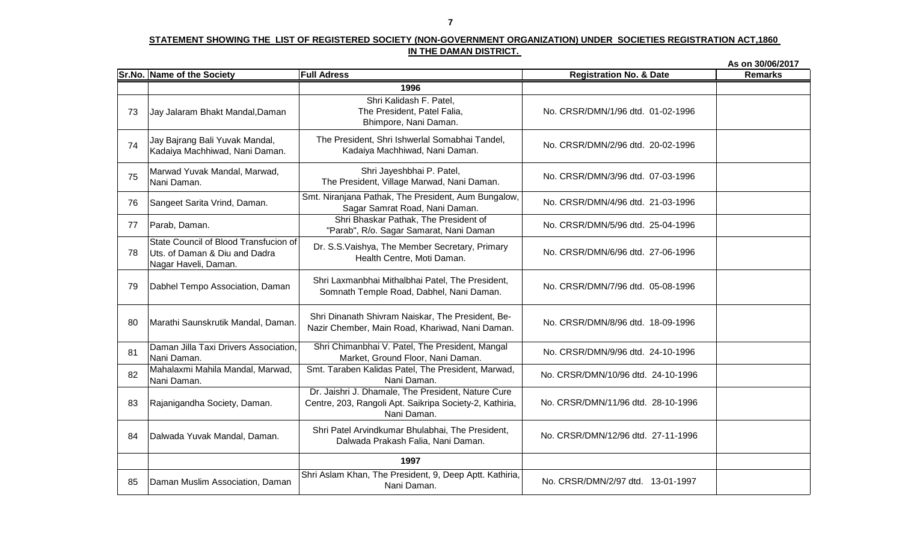|    |                                                                                                |                                                                                                                              |                                    | As on 30/06/2017 |
|----|------------------------------------------------------------------------------------------------|------------------------------------------------------------------------------------------------------------------------------|------------------------------------|------------------|
|    | Sr.No. Name of the Society                                                                     | <b>Full Adress</b>                                                                                                           | <b>Registration No. &amp; Date</b> | <b>Remarks</b>   |
|    |                                                                                                | 1996                                                                                                                         |                                    |                  |
| 73 | Jay Jalaram Bhakt Mandal, Daman                                                                | Shri Kalidash F. Patel,<br>The President, Patel Falia,<br>Bhimpore, Nani Daman.                                              | No. CRSR/DMN/1/96 dtd. 01-02-1996  |                  |
| 74 | Jay Bajrang Bali Yuvak Mandal,<br>Kadaiya Machhiwad, Nani Daman.                               | The President, Shri Ishwerlal Somabhai Tandel,<br>Kadaiya Machhiwad, Nani Daman.                                             | No. CRSR/DMN/2/96 dtd. 20-02-1996  |                  |
| 75 | Marwad Yuvak Mandal, Marwad,<br>Nani Daman.                                                    | Shri Jayeshbhai P. Patel,<br>The President, Village Marwad, Nani Daman.                                                      | No. CRSR/DMN/3/96 dtd. 07-03-1996  |                  |
| 76 | Sangeet Sarita Vrind, Daman.                                                                   | Smt. Niranjana Pathak, The President, Aum Bungalow,<br>Sagar Samrat Road, Nani Daman.                                        | No. CRSR/DMN/4/96 dtd. 21-03-1996  |                  |
| 77 | Parab, Daman.                                                                                  | Shri Bhaskar Pathak, The President of<br>"Parab", R/o. Sagar Samarat, Nani Daman                                             | No. CRSR/DMN/5/96 dtd. 25-04-1996  |                  |
| 78 | State Council of Blood Transfucion of<br>Uts. of Daman & Diu and Dadra<br>Nagar Haveli, Daman. | Dr. S.S. Vaishya, The Member Secretary, Primary<br>Health Centre, Moti Daman.                                                | No. CRSR/DMN/6/96 dtd. 27-06-1996  |                  |
| 79 | Dabhel Tempo Association, Daman                                                                | Shri Laxmanbhai Mithalbhai Patel, The President,<br>Somnath Temple Road, Dabhel, Nani Daman.                                 | No. CRSR/DMN/7/96 dtd. 05-08-1996  |                  |
| 80 | Marathi Saunskrutik Mandal, Daman.                                                             | Shri Dinanath Shivram Naiskar, The President, Be-<br>Nazir Chember, Main Road, Khariwad, Nani Daman.                         | No. CRSR/DMN/8/96 dtd. 18-09-1996  |                  |
| 81 | Daman Jilla Taxi Drivers Association,<br>Nani Daman.                                           | Shri Chimanbhai V. Patel, The President, Mangal<br>Market, Ground Floor, Nani Daman.                                         | No. CRSR/DMN/9/96 dtd. 24-10-1996  |                  |
| 82 | Mahalaxmi Mahila Mandal, Marwad,<br>Nani Daman.                                                | Smt. Taraben Kalidas Patel, The President, Marwad,<br>Nani Daman.                                                            | No. CRSR/DMN/10/96 dtd. 24-10-1996 |                  |
| 83 | Rajanigandha Society, Daman.                                                                   | Dr. Jaishri J. Dhamale, The President, Nature Cure<br>Centre, 203, Rangoli Apt. Saikripa Society-2, Kathiria,<br>Nani Daman. | No. CRSR/DMN/11/96 dtd. 28-10-1996 |                  |
| 84 | Dalwada Yuvak Mandal, Daman.                                                                   | Shri Patel Arvindkumar Bhulabhai, The President,<br>Dalwada Prakash Falia, Nani Daman.                                       | No. CRSR/DMN/12/96 dtd. 27-11-1996 |                  |
|    |                                                                                                | 1997                                                                                                                         |                                    |                  |
| 85 | Daman Muslim Association, Daman                                                                | Shri Aslam Khan, The President, 9, Deep Aptt. Kathiria,<br>Nani Daman.                                                       | No. CRSR/DMN/2/97 dtd. 13-01-1997  |                  |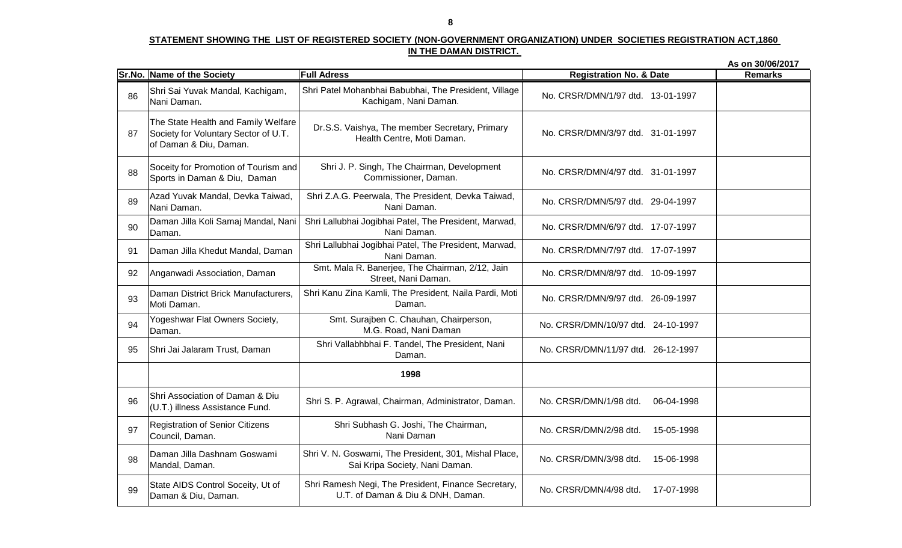#### **STATEMENT SHOWING THE LIST OF REGISTERED SOCIETY (NON-GOVERNMENT ORGANIZATION) UNDER SOCIETIES REGISTRATION ACT,1860 IN THE DAMAN DISTRICT.**

**As on 30/06/2017Sr.No. Name of the Society Full Adress**<u>**Registration No. & Date** Remarks</u> **1978**Shri Patel Mohanbhai Babubhai, The President, Village 86 Shri Sai Yuvak Mandal, Kachigam, Nani Daman.87The State Health and Family Welfare Society for Voluntary Sector of U.T. of Daman & Diu, Daman.88Soceity for Promotion of Tourism and<br>Sports in Daman & Diu, Daman 89 Azad Yuvak Mandal, Devka Taiwad, Nani Daman.90Daman Jilla Koli Samaj Mandal, Nani<br>Daman. 91 Daman Jilla Khedut Mandal, Daman92 Anganwadi Association, Daman 93 Daman District Brick Manufacturers, Moti Daman.94 Yogeshwar Flat Owners Society, Daman.95 Shri Jai Jalaram Trust, Daman 96 Shri Association of Daman & Diu (U.T.) illness Assistance Fund.97Registration of Senior Citizens<br>Council, Daman. 98 Daman Jilla Dashnam Goswami Mandal, Daman.99 State AIDS Control Soceity, Ut of Daman & Diu, Daman.No. CRSR/DMN/1/97 dtd. 13-01-1997No. CRSR/DMN/8/97 dtd. 10-09-1997Dr.S.S. Vaishya, The member Secretary, Primary Health Centre, Moti Daman. No. CRSR/DMN/3/97 dtd. 31-01-1997 Shri J. P. Singh, The Chairman, Development Commissioner, Daman. No. CRSR/DMN/4/97 dtd. 31-01-1997 Shri Z.A.G. Peerwala, The President, Devka Taiwad, Nani Daman. No. CRSR/DMN/5/97 dtd. 29-04-1997 No. CRSR/DMN/9/97 dtd. 26-09-1997Smt. Surajben C. Chauhan, Chairperson, M.G. Road, Nani Daman No. CRSR/DMN/10/97 dtd. 24-10-1997 Shri Vallabhbhai F. Tandel, The President, Nani Daman. No. CRSR/DMN/11/97 dtd. 26-12-1997 Shri Lallubhai Jogibhai Patel, The President, Marwad, Nani Daman. No. CRSR/DMN/6/97 dtd. 17-07-1997 Shri Lallubhai Jogibhai Patel, The President, Marwad, Nani Daman. No. CRSR/DMN/7/97 dtd. 17-07-1997 Smt. Mala R. Banerjee, The Chairman, 2/12, Jain Street, Nani Daman.No. CRSR/DMN/4/98 dtd. 17-07-1998Shri S. P. Agrawal, Chairman, Administrator, Daman. No. CRSR/DMN/1/98 dtd. 06-04-1998Shri Subhash G. Joshi, The Chairman, Nani Daman No. CRSR/DMN/2/98 dtd. 15-05-1998 Shri V. N. Goswami, The President, 301, Mishal Place, Sai Kripa Society, Nani Daman. No. CRSR/DMN/3/98 dtd. 15-06-1998 **1998**Shri Kanu Zina Kamli, The President, Naila Pardi, Moti Daman.Shri Ramesh Negi, The President, Finance Secretary,U.T. of Daman & Diu & DNH, Daman.Kachigam, Nani Daman.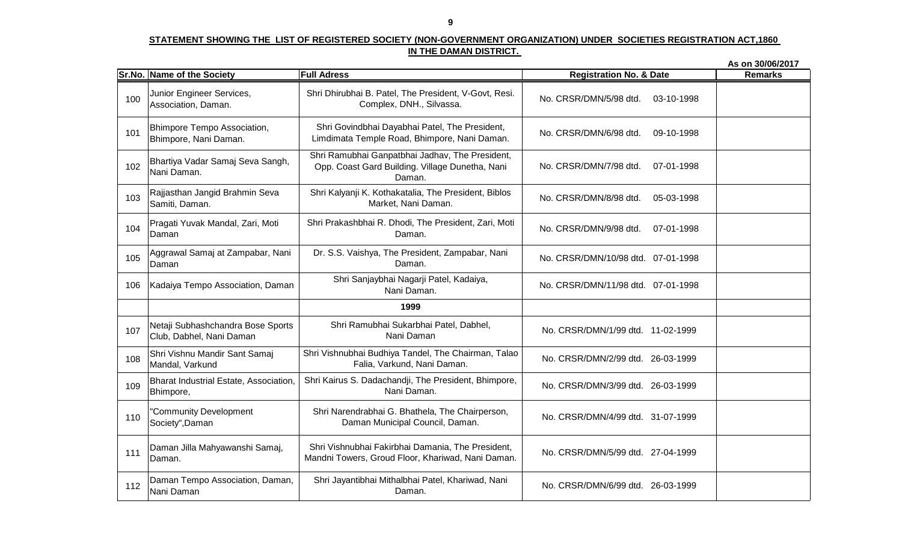#### **STATEMENT SHOWING THE LIST OF REGISTERED SOCIETY (NON-GOVERNMENT ORGANIZATION) UNDER SOCIETIES REGISTRATION ACT,1860 IN THE DAMAN DISTRICT.**

**As on 30/06/2017Sr.No. Name of the Society Full Adress**<u>**Registration No. & Date** Remarks</u> **1978** Shri Dhirubhai B. Patel, The President, V-Govt, Resi. 100 Junior Engineer Services, Association, Daman.101 Bhimpore Tempo Association, Bhimpore, Nani Daman.102Bhartiya Vadar Samaj Seva Sangh,<br>Nani Daman. 103Rajjasthan Jangid Brahmin Seva<br>Samiti, Daman. 104 Pragati Yuvak Mandal, Zari, Moti Daman105 Aggrawal Samaj at Zampabar, Nani Daman106 | Kadaiya Tempo Association, Daman 107 Netaji Subhashchandra Bose Sports Club, Dabhel, Nani Daman108 Shri Vishnu Mandir Sant Samaj Mandal, Varkund109 Bharat Industrial Estate, Association, Bhimpore,110 "Community Development Society",Daman111 Daman Jilla Mahyawanshi Samaj, Daman.112Daman Tempo Association, Daman,<br>Nani Daman Complex, DNH., Silvassa. No. CRSR/DMN/5/98 dtd. 03-10-1998 Shri Govindbhai Dayabhai Patel, The President, Limdimata Temple Road, Bhimpore, Nani Daman.No. CRSR/DMN/10/98 dtd. 07-01-1998Shri Sanjaybhai Nagarji Patel, Kadaiya, Nani Daman.No. CRSR/DMN/6/98 dtd. 09-10-1998No. CRSR/DMN/7/98 dtd. 07-01-1998Shri Kalyanji K. Kothakatalia, The President, Biblos Market, Nani Daman. No. CRSR/DMN/8/98 dtd. 05-03-1998 No. CRSR/DMN/11/98 dtd. 07-01-1998No. CRSR/DMN/1/99 dtd. 11-02-1999No. CRSR/DMN/2/99 dtd. 26-03-1999Shri Kairus S. Dadachandji, The President, Bhimpore, Nani Daman. No. CRSR/DMN/3/99 dtd. 26-03-1999 Shri Narendrabhai G. Bhathela, The Chairperson, Daman Municipal Council, Daman. No. CRSR/DMN/4/99 dtd. 31-07-1999 Shri Prakashbhai R. Dhodi, The President, Zari, Moti Daman. No. CRSR/DMN/9/98 dtd. 07-01-1998 No. CRSR/DMN/5/99 dtd. 27-04-1999Shri Jayantibhai Mithalbhai Patel, Khariwad, Nani Daman. No. CRSR/DMN/6/99 dtd. 26-03-1999 **1999**Dr. S.S. Vaishya, The President, Zampabar, Nani Daman.Shri Ramubhai Ganpatbhai Jadhav, The President, Opp. Coast Gard Building. Village Dunetha, Nani Daman.Shri Vishnubhai Fakirbhai Damania, The President, Mandni Towers, Groud Floor, Khariwad, Nani Daman.Shri Ramubhai Sukarbhai Patel, Dabhel, Nani DamanShri Vishnubhai Budhiya Tandel, The Chairman, TalaoFalia, Varkund, Nani Daman.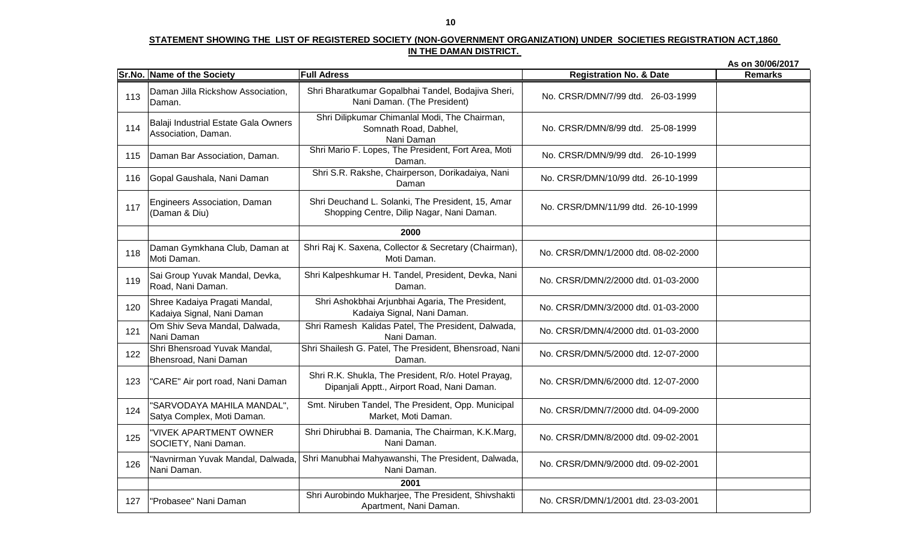**As on 30/06/2017Sr.No. Name of the Society Full Adress**<u>**Registration No. & Date** Remarks</u> **1978**Shri Bharatkumar Gopalbhai Tandel, Bodajiva Sheri, 113 Daman Jilla Rickshow Association, Daman.114Balaji Industrial Estate Gala Owners<br>Association, Daman. 115 Daman Bar Association, Daman. 116 Gopal Gaushala, Nani Daman 117 Engineers Association, Daman (Daman & Diu)118Daman Gymkhana Club, Daman at<br>Moti Daman. 119Sai Group Yuvak Mandal, Devka,<br>Road, Nani Daman. 120Shree Kadaiya Pragati Mandal,<br>Kadaiya Signal, Nani Daman 1 Om Shiv Seva Mandal, Dalwada,<br>Nani Daman 1212 Shri Bhensroad Yuvak Mandal,<br>Bhensroad, Nani Daman 122123 "CARE" Air port road, Nani Daman124"SARVODAYA MAHILA MANDAL",<br>Satya Complex, Moti Daman. 125 "VIVEK APARTMENT OWNER SOCIETY, Nani Daman.126 "Navnirman Yuvak Mandal, Dalwada, Nani Daman.127 "Probasee" Nani DamanNani Daman. (The President) No. CRSR/DMN/7/99 dtd. 26-03-1999 Shri Dilipkumar Chimanlal Modi, The Chairman, Somnath Road, Dabhel,Nani Daman Shri Mario F. Lopes, The President, Fort Area, MotiNo. CRSR/DMN/8/99 dtd. 25-08-1999Daman. No. CRSR/DMN/9/99 dtd. 26-10-1999 No. CRSR/DMN/10/99 dtd. 26-10-1999Shri Deuchand L. Solanki, The President, 15, Amar Shopping Centre, Dilip Nagar, Nani Daman. No. CRSR/DMN/11/99 dtd. 26-10-1999 Shri Raj K. Saxena, Collector & Secretary (Chairman), Moti Daman. No. CRSR/DMN/1/2000 dtd. 08-02-2000 Shri Kalpeshkumar H. Tandel, President, Devka, NaniDaman. No. CRSR/DMN/2/2000 dtd. 01-03-2000 Shri Ramesh Kalidas Patel, The President, Dalwada,Nani Daman. Shri Shailesh G. Patel, The President, Bhensroad, Nani No. CRSR/DMN/3/2000 dtd. 01-03-2000 Shri Ashokbhai Arjunbhai Agaria, The President, Kadaiya Signal, Nani Daman.No. CRSR/DMN/7/2000 dtd. 04-09-2000Shri Dhirubhai B. Damania, The Chairman, K.K.Marg, Nani Daman. No. CRSR/DMN/8/2000 dtd. 09-02-2001 Shri Manubhai Mahyawanshi, The President, Dalwada, Nani Daman. No. CRSR/DMN/9/2000 dtd. 09-02-2001 No. CRSR/DMN/4/2000 dtd. 01-03-2000Daman. No. CRSR/DMN/5/2000 dtd. 12-07-2000 Shri R.K. Shukla, The President, R/o. Hotel Prayag,Dipanjali Apptt., Airport Road, Nani Daman. No. CRSR/DMN/6/2000 dtd. 12-07-2000 No. CRSR/DMN/1/2001 dtd. 23-03-2001**20002001** Shri Aurobindo Mukharjee, The President, ShivshaktiSmt. Niruben Tandel, The President, Opp. Municipal Market, Moti Daman.Apartment, Nani Daman.Shri S.R. Rakshe, Chairperson, Dorikadaiya, Nani Daman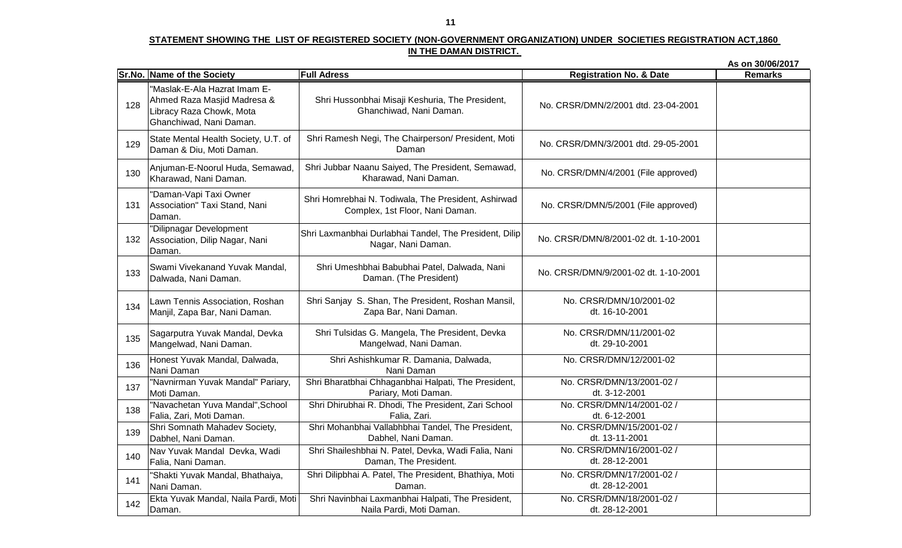|     |                                                                                                                    |                                                                                        |                                             | As on 30/06/2017 |
|-----|--------------------------------------------------------------------------------------------------------------------|----------------------------------------------------------------------------------------|---------------------------------------------|------------------|
|     | Sr.No. Name of the Society                                                                                         | <b>Full Adress</b>                                                                     | <b>Registration No. &amp; Date</b>          | <b>Remarks</b>   |
| 128 | "Maslak-E-Ala Hazrat Imam E-<br>Ahmed Raza Masjid Madresa &<br>Libracy Raza Chowk, Mota<br>Ghanchiwad, Nani Daman. | Shri Hussonbhai Misaji Keshuria, The President,<br>Ghanchiwad, Nani Daman.             | No. CRSR/DMN/2/2001 dtd. 23-04-2001         |                  |
| 129 | State Mental Health Society, U.T. of<br>Daman & Diu, Moti Daman.                                                   | Shri Ramesh Negi, The Chairperson/ President, Moti<br>Daman                            | No. CRSR/DMN/3/2001 dtd. 29-05-2001         |                  |
| 130 | Anjuman-E-Noorul Huda, Semawad,<br>Kharawad, Nani Daman.                                                           | Shri Jubbar Naanu Saiyed, The President, Semawad,<br>Kharawad, Nani Daman.             | No. CRSR/DMN/4/2001 (File approved)         |                  |
| 131 | "Daman-Vapi Taxi Owner<br>Association" Taxi Stand, Nani<br>Daman.                                                  | Shri Homrebhai N. Todiwala, The President, Ashirwad<br>Complex, 1st Floor, Nani Daman. | No. CRSR/DMN/5/2001 (File approved)         |                  |
| 132 | "Dilipnagar Development<br>Association, Dilip Nagar, Nani<br>Daman.                                                | Shri Laxmanbhai Durlabhai Tandel, The President, Dilip<br>Nagar, Nani Daman.           | No. CRSR/DMN/8/2001-02 dt. 1-10-2001        |                  |
| 133 | Swami Vivekanand Yuvak Mandal,<br>Dalwada, Nani Daman.                                                             | Shri Umeshbhai Babubhai Patel, Dalwada, Nani<br>Daman. (The President)                 | No. CRSR/DMN/9/2001-02 dt. 1-10-2001        |                  |
| 134 | Lawn Tennis Association, Roshan<br>Manjil, Zapa Bar, Nani Daman.                                                   | Shri Sanjay S. Shan, The President, Roshan Mansil,<br>Zapa Bar, Nani Daman.            | No. CRSR/DMN/10/2001-02<br>dt. 16-10-2001   |                  |
| 135 | Sagarputra Yuvak Mandal, Devka<br>Mangelwad, Nani Daman.                                                           | Shri Tulsidas G. Mangela, The President, Devka<br>Mangelwad, Nani Daman.               | No. CRSR/DMN/11/2001-02<br>dt. 29-10-2001   |                  |
| 136 | Honest Yuvak Mandal, Dalwada,<br>Nani Daman                                                                        | Shri Ashishkumar R. Damania, Dalwada,<br>Nani Daman                                    | No. CRSR/DMN/12/2001-02                     |                  |
| 137 | "Navnirman Yuvak Mandal" Pariary,<br>Moti Daman.                                                                   | Shri Bharatbhai Chhaganbhai Halpati, The President,<br>Pariary, Moti Daman.            | No. CRSR/DMN/13/2001-02 /<br>dt. 3-12-2001  |                  |
| 138 | "Navachetan Yuva Mandal", School<br>Falia, Zari, Moti Daman.                                                       | Shri Dhirubhai R. Dhodi, The President, Zari School<br>Falia, Zari.                    | No. CRSR/DMN/14/2001-02 /<br>dt. 6-12-2001  |                  |
| 139 | Shri Somnath Mahadev Society,<br>Dabhel, Nani Daman.                                                               | Shri Mohanbhai Vallabhbhai Tandel, The President,<br>Dabhel, Nani Daman.               | No. CRSR/DMN/15/2001-02 /<br>dt. 13-11-2001 |                  |
| 140 | Nav Yuvak Mandal Devka, Wadi<br>Falia, Nani Daman.                                                                 | Shri Shaileshbhai N. Patel, Devka, Wadi Falia, Nani<br>Daman, The President.           | No. CRSR/DMN/16/2001-02 /<br>dt. 28-12-2001 |                  |
| 141 | "Shakti Yuvak Mandal, Bhathaiya,<br>Nani Daman.                                                                    | Shri Dilipbhai A. Patel, The President, Bhathiya, Moti<br>Daman.                       | No. CRSR/DMN/17/2001-02 /<br>dt. 28-12-2001 |                  |
| 142 | Ekta Yuvak Mandal, Naila Pardi, Moti<br>Daman.                                                                     | Shri Navinbhai Laxmanbhai Halpati, The President,<br>Naila Pardi, Moti Daman.          | No. CRSR/DMN/18/2001-02 /<br>dt. 28-12-2001 |                  |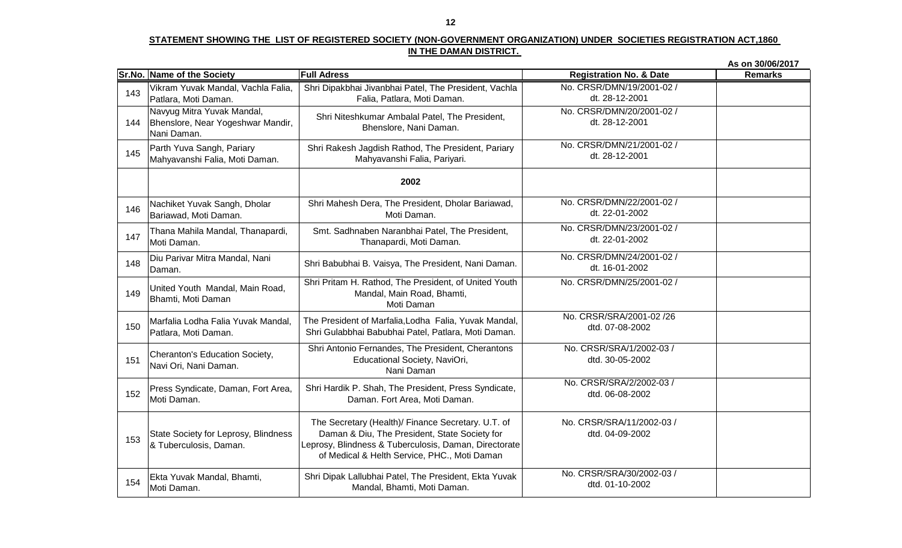|     |                                                                                |                                                                                                                                                                                                              |                                              | As on 30/06/2017 |
|-----|--------------------------------------------------------------------------------|--------------------------------------------------------------------------------------------------------------------------------------------------------------------------------------------------------------|----------------------------------------------|------------------|
|     | Sr.No. Name of the Society                                                     | <b>Full Adress</b>                                                                                                                                                                                           | <b>Registration No. &amp; Date</b>           | <b>Remarks</b>   |
| 143 | Vikram Yuvak Mandal, Vachla Falia,<br>Patlara, Moti Daman.                     | Shri Dipakbhai Jivanbhai Patel, The President, Vachla<br>Falia, Patlara, Moti Daman.                                                                                                                         | No. CRSR/DMN/19/2001-02 /<br>dt. 28-12-2001  |                  |
| 144 | Navyug Mitra Yuvak Mandal,<br>Bhenslore, Near Yogeshwar Mandir,<br>Nani Daman. | Shri Niteshkumar Ambalal Patel, The President,<br>Bhenslore, Nani Daman.                                                                                                                                     | No. CRSR/DMN/20/2001-02 /<br>dt. 28-12-2001  |                  |
| 145 | Parth Yuva Sangh, Pariary<br>Mahyavanshi Falia, Moti Daman.                    | Shri Rakesh Jagdish Rathod, The President, Pariary<br>Mahyavanshi Falia, Pariyari.                                                                                                                           | No. CRSR/DMN/21/2001-02 /<br>dt. 28-12-2001  |                  |
|     |                                                                                | 2002                                                                                                                                                                                                         |                                              |                  |
| 146 | Nachiket Yuvak Sangh, Dholar<br>Bariawad, Moti Daman.                          | Shri Mahesh Dera, The President, Dholar Bariawad,<br>Moti Daman.                                                                                                                                             | No. CRSR/DMN/22/2001-02 /<br>dt. 22-01-2002  |                  |
| 147 | Thana Mahila Mandal, Thanapardi,<br>Moti Daman.                                | Smt. Sadhnaben Naranbhai Patel, The President,<br>Thanapardi, Moti Daman.                                                                                                                                    | No. CRSR/DMN/23/2001-02 /<br>dt. 22-01-2002  |                  |
| 148 | Diu Parivar Mitra Mandal, Nani<br>Daman.                                       | Shri Babubhai B. Vaisya, The President, Nani Daman.                                                                                                                                                          | No. CRSR/DMN/24/2001-02 /<br>dt. 16-01-2002  |                  |
| 149 | United Youth Mandal, Main Road,<br>Bhamti, Moti Daman                          | Shri Pritam H. Rathod, The President, of United Youth<br>Mandal, Main Road, Bhamti,<br>Moti Daman                                                                                                            | No. CRSR/DMN/25/2001-02 /                    |                  |
| 150 | Marfalia Lodha Falia Yuvak Mandal,<br>Patlara, Moti Daman.                     | The President of Marfalia, Lodha Falia, Yuvak Mandal,<br>Shri Gulabbhai Babubhai Patel, Patlara, Moti Daman.                                                                                                 | No. CRSR/SRA/2001-02 /26<br>dtd. 07-08-2002  |                  |
| 151 | Cheranton's Education Society,<br>Navi Ori, Nani Daman.                        | Shri Antonio Fernandes, The President, Cherantons<br>Educational Society, NaviOri,<br>Nani Daman                                                                                                             | No. CRSR/SRA/1/2002-03 /<br>dtd. 30-05-2002  |                  |
| 152 | Press Syndicate, Daman, Fort Area,<br>Moti Daman.                              | Shri Hardik P. Shah, The President, Press Syndicate,<br>Daman. Fort Area, Moti Daman.                                                                                                                        | No. CRSR/SRA/2/2002-03 /<br>dtd. 06-08-2002  |                  |
| 153 | State Society for Leprosy, Blindness<br>& Tuberculosis, Daman.                 | The Secretary (Health)/ Finance Secretary. U.T. of<br>Daman & Diu, The President, State Society for<br>Leprosy, Blindness & Tuberculosis, Daman, Directorate<br>of Medical & Helth Service, PHC., Moti Daman | No. CRSR/SRA/11/2002-03 /<br>dtd. 04-09-2002 |                  |
| 154 | Ekta Yuvak Mandal, Bhamti,<br>Moti Daman.                                      | Shri Dipak Lallubhai Patel, The President, Ekta Yuvak<br>Mandal, Bhamti, Moti Daman.                                                                                                                         | No. CRSR/SRA/30/2002-03 /<br>dtd. 01-10-2002 |                  |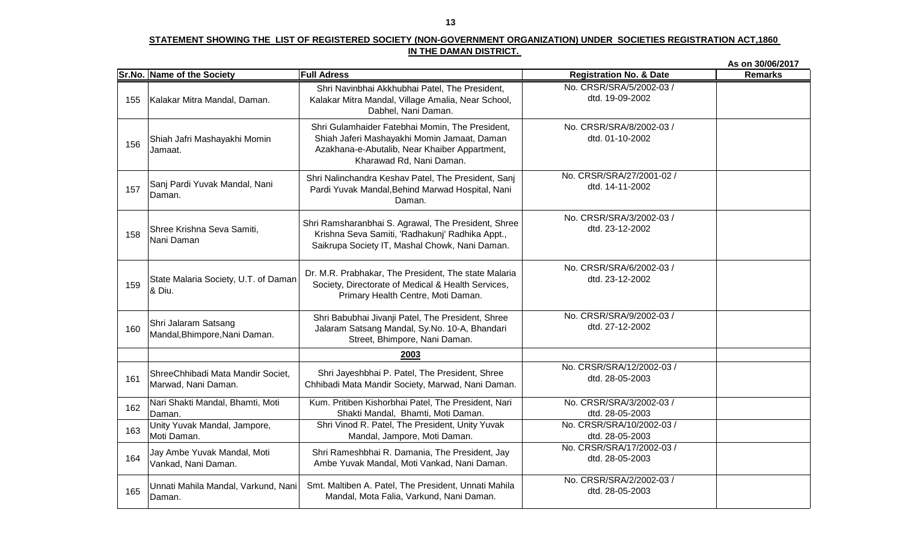|     |                                                          |                                                                                                                                                                             |                                              | As on 30/06/2017 |
|-----|----------------------------------------------------------|-----------------------------------------------------------------------------------------------------------------------------------------------------------------------------|----------------------------------------------|------------------|
|     | Sr.No. Name of the Society                               | <b>Full Adress</b>                                                                                                                                                          | <b>Registration No. &amp; Date</b>           | <b>Remarks</b>   |
| 155 | Kalakar Mitra Mandal, Daman.                             | Shri Navinbhai Akkhubhai Patel, The President,<br>Kalakar Mitra Mandal, Village Amalia, Near School,<br>Dabhel, Nani Daman.                                                 | No. CRSR/SRA/5/2002-03 /<br>dtd. 19-09-2002  |                  |
| 156 | Shiah Jafri Mashayakhi Momin<br>Jamaat.                  | Shri Gulamhaider Fatebhai Momin, The President,<br>Shiah Jaferi Mashayakhi Momin Jamaat, Daman<br>Azakhana-e-Abutalib, Near Khaiber Appartment,<br>Kharawad Rd, Nani Daman. | No. CRSR/SRA/8/2002-03 /<br>dtd. 01-10-2002  |                  |
| 157 | Sanj Pardi Yuvak Mandal, Nani<br>Daman.                  | Shri Nalinchandra Keshav Patel, The President, Sanj<br>Pardi Yuvak Mandal, Behind Marwad Hospital, Nani<br>Daman.                                                           | No. CRSR/SRA/27/2001-02 /<br>dtd. 14-11-2002 |                  |
| 158 | Shree Krishna Seva Samiti,<br>Nani Daman                 | Shri Ramsharanbhai S. Agrawal, The President, Shree<br>Krishna Seva Samiti, 'Radhakunj' Radhika Appt.,<br>Saikrupa Society IT, Mashal Chowk, Nani Daman.                    | No. CRSR/SRA/3/2002-03 /<br>dtd. 23-12-2002  |                  |
| 159 | State Malaria Society, U.T. of Daman<br>& Diu.           | Dr. M.R. Prabhakar, The President, The state Malaria<br>Society, Directorate of Medical & Health Services,<br>Primary Health Centre, Moti Daman.                            | No. CRSR/SRA/6/2002-03 /<br>dtd. 23-12-2002  |                  |
| 160 | Shri Jalaram Satsang<br>Mandal, Bhimpore, Nani Daman.    | Shri Babubhai Jivanji Patel, The President, Shree<br>Jalaram Satsang Mandal, Sy.No. 10-A, Bhandari<br>Street, Bhimpore, Nani Daman.                                         | No. CRSR/SRA/9/2002-03 /<br>dtd. 27-12-2002  |                  |
|     |                                                          | 2003                                                                                                                                                                        |                                              |                  |
| 161 | ShreeChhibadi Mata Mandir Societ,<br>Marwad, Nani Daman. | Shri Jayeshbhai P. Patel, The President, Shree<br>Chhibadi Mata Mandir Society, Marwad, Nani Daman.                                                                         | No. CRSR/SRA/12/2002-03 /<br>dtd. 28-05-2003 |                  |
| 162 | Nari Shakti Mandal, Bhamti, Moti<br>Daman.               | Kum. Pritiben Kishorbhai Patel, The President, Nari<br>Shakti Mandal, Bhamti, Moti Daman.                                                                                   | No. CRSR/SRA/3/2002-03 /<br>dtd. 28-05-2003  |                  |
| 163 | Unity Yuvak Mandal, Jampore,<br>Moti Daman.              | Shri Vinod R. Patel, The President, Unity Yuvak<br>Mandal, Jampore, Moti Daman.                                                                                             | No. CRSR/SRA/10/2002-03 /<br>dtd. 28-05-2003 |                  |
| 164 | Jay Ambe Yuvak Mandal, Moti<br>Vankad, Nani Daman.       | Shri Rameshbhai R. Damania, The President, Jay<br>Ambe Yuvak Mandal, Moti Vankad, Nani Daman.                                                                               | No. CRSR/SRA/17/2002-03 /<br>dtd. 28-05-2003 |                  |
| 165 | Unnati Mahila Mandal, Varkund, Nani<br>Daman.            | Smt. Maltiben A. Patel, The President, Unnati Mahila<br>Mandal, Mota Falia, Varkund, Nani Daman.                                                                            | No. CRSR/SRA/2/2002-03 /<br>dtd. 28-05-2003  |                  |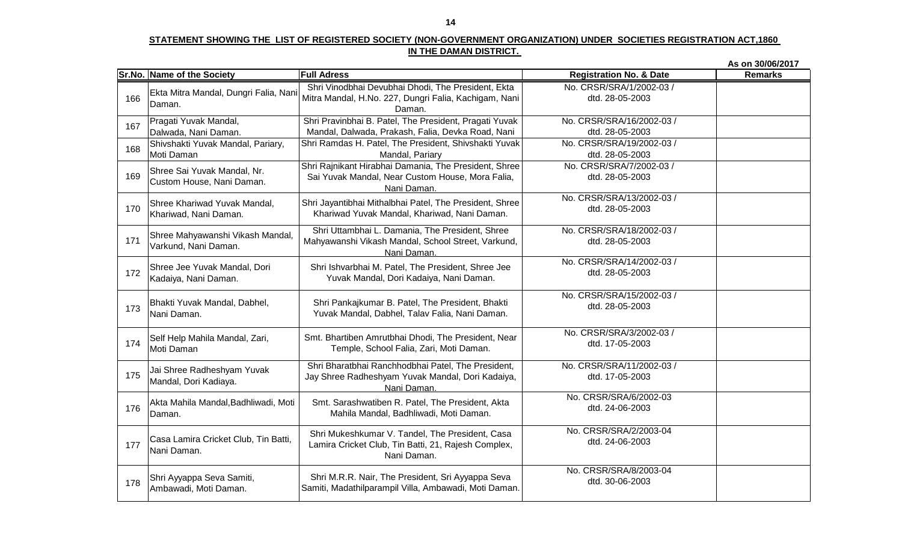|     |                                                    |                                                                                                |                                    | As on 30/06/2017 |
|-----|----------------------------------------------------|------------------------------------------------------------------------------------------------|------------------------------------|------------------|
|     | Sr.No. Name of the Society                         | <b>Full Adress</b>                                                                             | <b>Registration No. &amp; Date</b> | <b>Remarks</b>   |
|     | Ekta Mitra Mandal, Dungri Falia, Nani              | Shri Vinodbhai Devubhai Dhodi, The President, Ekta                                             | No. CRSR/SRA/1/2002-03 /           |                  |
| 166 | Daman.                                             | Mitra Mandal, H.No. 227, Dungri Falia, Kachigam, Nani                                          | dtd. 28-05-2003                    |                  |
|     |                                                    | Daman.                                                                                         |                                    |                  |
| 167 | Pragati Yuvak Mandal,                              | Shri Pravinbhai B. Patel, The President, Pragati Yuvak                                         | No. CRSR/SRA/16/2002-03 /          |                  |
|     | Dalwada, Nani Daman.                               | Mandal, Dalwada, Prakash, Falia, Devka Road, Nani                                              | dtd. 28-05-2003                    |                  |
| 168 | Shivshakti Yuvak Mandal, Pariary,                  | Shri Ramdas H. Patel, The President, Shivshakti Yuvak                                          | No. CRSR/SRA/19/2002-03 /          |                  |
|     | Moti Daman                                         | Mandal, Pariary                                                                                | dtd. 28-05-2003                    |                  |
|     | Shree Sai Yuvak Mandal, Nr.                        | Shri Rajnikant Hirabhai Damania, The President, Shree                                          | No. CRSR/SRA/7/2002-03 /           |                  |
| 169 | Custom House, Nani Daman.                          | Sai Yuvak Mandal, Near Custom House, Mora Falia,                                               | dtd. 28-05-2003                    |                  |
|     |                                                    | Nani Daman.                                                                                    | No. CRSR/SRA/13/2002-03 /          |                  |
| 170 | Shree Khariwad Yuvak Mandal,                       | Shri Jayantibhai Mithalbhai Patel, The President, Shree                                        | dtd. 28-05-2003                    |                  |
|     | Khariwad, Nani Daman.                              | Khariwad Yuvak Mandal, Khariwad, Nani Daman.                                                   |                                    |                  |
|     |                                                    | Shri Uttambhai L. Damania, The President, Shree                                                | No. CRSR/SRA/18/2002-03 /          |                  |
| 171 | Shree Mahyawanshi Vikash Mandal,                   | Mahyawanshi Vikash Mandal, School Street, Varkund,                                             | dtd. 28-05-2003                    |                  |
|     | Varkund, Nani Daman.                               | Nani Daman.                                                                                    |                                    |                  |
|     | Shree Jee Yuvak Mandal, Dori                       | Shri Ishvarbhai M. Patel, The President, Shree Jee                                             | No. CRSR/SRA/14/2002-03 /          |                  |
| 172 | Kadaiya, Nani Daman.                               | Yuvak Mandal, Dori Kadaiya, Nani Daman.                                                        | dtd. 28-05-2003                    |                  |
|     |                                                    |                                                                                                |                                    |                  |
|     |                                                    |                                                                                                | No. CRSR/SRA/15/2002-03 /          |                  |
| 173 | Bhakti Yuvak Mandal, Dabhel,<br>Nani Daman.        | Shri Pankajkumar B. Patel, The President, Bhakti                                               | dtd. 28-05-2003                    |                  |
|     |                                                    | Yuvak Mandal, Dabhel, Talav Falia, Nani Daman.                                                 |                                    |                  |
|     |                                                    |                                                                                                | No. CRSR/SRA/3/2002-03 /           |                  |
| 174 | Self Help Mahila Mandal, Zari,<br>Moti Daman       | Smt. Bhartiben Amrutbhai Dhodi, The President, Near<br>Temple, School Falia, Zari, Moti Daman. | dtd. 17-05-2003                    |                  |
|     |                                                    |                                                                                                |                                    |                  |
|     | Jai Shree Radheshyam Yuvak                         | Shri Bharatbhai Ranchhodbhai Patel, The President,                                             | No. CRSR/SRA/11/2002-03 /          |                  |
| 175 | Mandal, Dori Kadiaya.                              | Jay Shree Radheshyam Yuvak Mandal, Dori Kadaiya,                                               | dtd. 17-05-2003                    |                  |
|     |                                                    | Nani Daman.                                                                                    |                                    |                  |
|     | Akta Mahila Mandal, Badhliwadi, Moti               | Smt. Sarashwatiben R. Patel, The President, Akta                                               | No. CRSR/SRA/6/2002-03             |                  |
| 176 | Daman.                                             | Mahila Mandal, Badhliwadi, Moti Daman.                                                         | dtd. 24-06-2003                    |                  |
|     |                                                    |                                                                                                | No. CRSR/SRA/2/2003-04             |                  |
|     | Casa Lamira Cricket Club, Tin Batti,               | Shri Mukeshkumar V. Tandel, The President, Casa                                                | dtd. 24-06-2003                    |                  |
| 177 | Nani Daman.                                        | Lamira Cricket Club, Tin Batti, 21, Rajesh Complex,                                            |                                    |                  |
|     |                                                    | Nani Daman.                                                                                    |                                    |                  |
|     |                                                    | Shri M.R.R. Nair, The President, Sri Ayyappa Seva                                              | No. CRSR/SRA/8/2003-04             |                  |
| 178 | Shri Ayyappa Seva Samiti,<br>Ambawadi, Moti Daman. | Samiti, Madathilparampil Villa, Ambawadi, Moti Daman.                                          | dtd. 30-06-2003                    |                  |
|     |                                                    |                                                                                                |                                    |                  |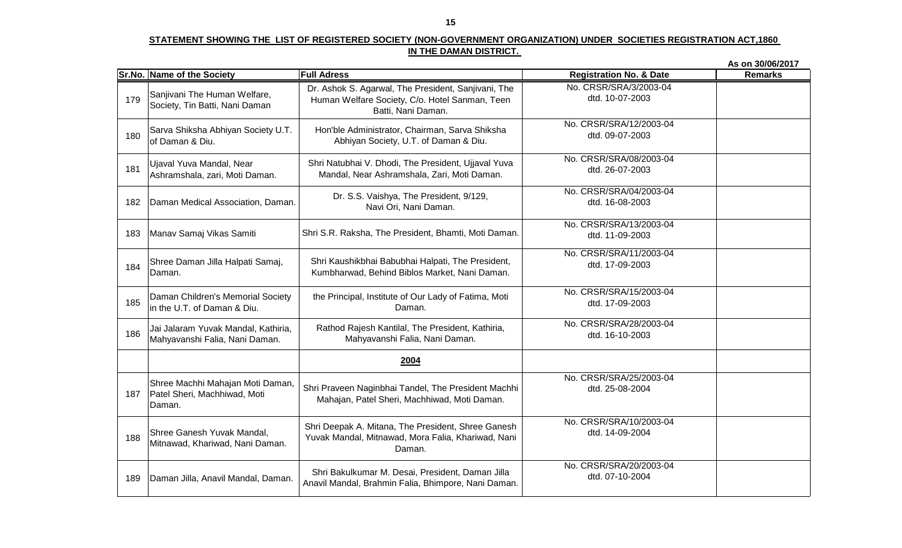|     |                                                                            |                                                                                                                             |                                            | As on 30/06/2017 |
|-----|----------------------------------------------------------------------------|-----------------------------------------------------------------------------------------------------------------------------|--------------------------------------------|------------------|
|     | Sr.No. Name of the Society                                                 | <b>Full Adress</b>                                                                                                          | <b>Registration No. &amp; Date</b>         | <b>Remarks</b>   |
| 179 | Sanjivani The Human Welfare,<br>Society, Tin Batti, Nani Daman             | Dr. Ashok S. Agarwal, The President, Sanjivani, The<br>Human Welfare Society, C/o. Hotel Sanman, Teen<br>Batti, Nani Daman. | No. CRSR/SRA/3/2003-04<br>dtd. 10-07-2003  |                  |
| 180 | Sarva Shiksha Abhiyan Society U.T.<br>of Daman & Diu.                      | Hon'ble Administrator, Chairman, Sarva Shiksha<br>Abhiyan Society, U.T. of Daman & Diu.                                     | No. CRSR/SRA/12/2003-04<br>dtd. 09-07-2003 |                  |
| 181 | Ujaval Yuva Mandal, Near<br>Ashramshala, zari, Moti Daman.                 | Shri Natubhai V. Dhodi, The President, Ujjaval Yuva<br>Mandal, Near Ashramshala, Zari, Moti Daman.                          | No. CRSR/SRA/08/2003-04<br>dtd. 26-07-2003 |                  |
| 182 | Daman Medical Association, Daman.                                          | Dr. S.S. Vaishya, The President, 9/129,<br>Navi Ori, Nani Daman.                                                            | No. CRSR/SRA/04/2003-04<br>dtd. 16-08-2003 |                  |
| 183 | Manav Samaj Vikas Samiti                                                   | Shri S.R. Raksha, The President, Bhamti, Moti Daman.                                                                        | No. CRSR/SRA/13/2003-04<br>dtd. 11-09-2003 |                  |
| 184 | Shree Daman Jilla Halpati Samaj,<br>Daman.                                 | Shri Kaushikbhai Babubhai Halpati, The President,<br>Kumbharwad, Behind Biblos Market, Nani Daman.                          | No. CRSR/SRA/11/2003-04<br>dtd. 17-09-2003 |                  |
| 185 | Daman Children's Memorial Society<br>in the U.T. of Daman & Diu.           | the Principal, Institute of Our Lady of Fatima, Moti<br>Daman.                                                              | No. CRSR/SRA/15/2003-04<br>dtd. 17-09-2003 |                  |
| 186 | Jai Jalaram Yuvak Mandal, Kathiria,<br>Mahyavanshi Falia, Nani Daman.      | Rathod Rajesh Kantilal, The President, Kathiria,<br>Mahyavanshi Falia, Nani Daman.                                          | No. CRSR/SRA/28/2003-04<br>dtd. 16-10-2003 |                  |
|     |                                                                            | 2004                                                                                                                        |                                            |                  |
| 187 | Shree Machhi Mahajan Moti Daman,<br>Patel Sheri, Machhiwad, Moti<br>Daman. | Shri Praveen Naginbhai Tandel, The President Machhi<br>Mahajan, Patel Sheri, Machhiwad, Moti Daman.                         | No. CRSR/SRA/25/2003-04<br>dtd. 25-08-2004 |                  |
| 188 | Shree Ganesh Yuvak Mandal,<br>Mitnawad, Khariwad, Nani Daman.              | Shri Deepak A. Mitana, The President, Shree Ganesh<br>Yuvak Mandal, Mitnawad, Mora Falia, Khariwad, Nani<br>Daman.          | No. CRSR/SRA/10/2003-04<br>dtd. 14-09-2004 |                  |
| 189 | Daman Jilla, Anavil Mandal, Daman.                                         | Shri Bakulkumar M. Desai, President, Daman Jilla<br>Anavil Mandal, Brahmin Falia, Bhimpore, Nani Daman.                     | No. CRSR/SRA/20/2003-04<br>dtd. 07-10-2004 |                  |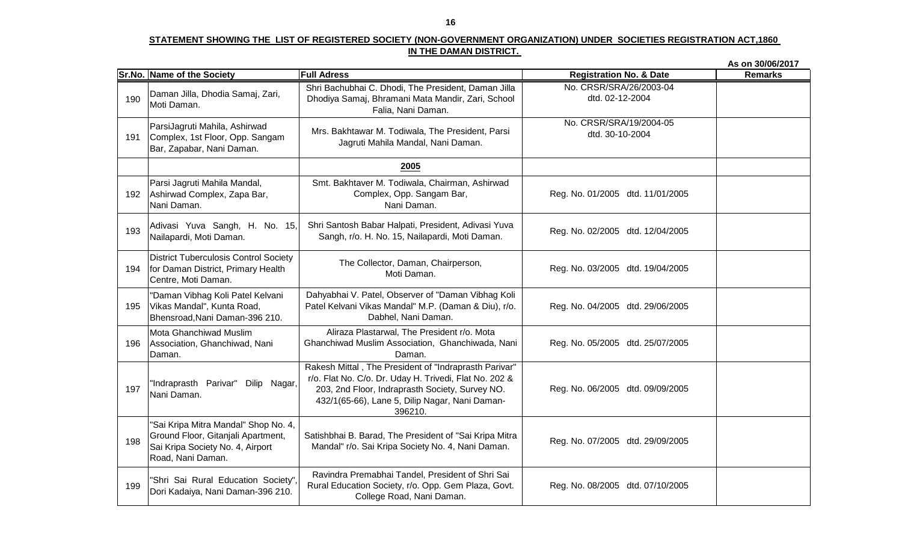|     |                                                                                                                                     |                                                                                                                                                                                                                                 |                                            | As on 30/06/2017 |
|-----|-------------------------------------------------------------------------------------------------------------------------------------|---------------------------------------------------------------------------------------------------------------------------------------------------------------------------------------------------------------------------------|--------------------------------------------|------------------|
|     | Sr.No. Name of the Society                                                                                                          | <b>Full Adress</b>                                                                                                                                                                                                              | <b>Registration No. &amp; Date</b>         | <b>Remarks</b>   |
| 190 | Daman Jilla, Dhodia Samaj, Zari,<br>Moti Daman.                                                                                     | Shri Bachubhai C. Dhodi, The President, Daman Jilla<br>Dhodiya Samaj, Bhramani Mata Mandir, Zari, School<br>Falia, Nani Daman.                                                                                                  | No. CRSR/SRA/26/2003-04<br>dtd. 02-12-2004 |                  |
| 191 | ParsiJagruti Mahila, Ashirwad<br>Complex, 1st Floor, Opp. Sangam<br>Bar, Zapabar, Nani Daman.                                       | Mrs. Bakhtawar M. Todiwala, The President, Parsi<br>Jagruti Mahila Mandal, Nani Daman.                                                                                                                                          | No. CRSR/SRA/19/2004-05<br>dtd. 30-10-2004 |                  |
|     |                                                                                                                                     | 2005                                                                                                                                                                                                                            |                                            |                  |
| 192 | Parsi Jagruti Mahila Mandal,<br>Ashirwad Complex, Zapa Bar,<br>Nani Daman.                                                          | Smt. Bakhtaver M. Todiwala, Chairman, Ashirwad<br>Complex, Opp. Sangam Bar,<br>Nani Daman.                                                                                                                                      | Reg. No. 01/2005 dtd. 11/01/2005           |                  |
| 193 | Adivasi Yuva Sangh, H. No. 15,<br>Nailapardi, Moti Daman.                                                                           | Shri Santosh Babar Halpati, President, Adivasi Yuva<br>Sangh, r/o. H. No. 15, Nailapardi, Moti Daman.                                                                                                                           | Reg. No. 02/2005 dtd. 12/04/2005           |                  |
| 194 | <b>District Tuberculosis Control Society</b><br>for Daman District, Primary Health<br>Centre, Moti Daman.                           | The Collector, Daman, Chairperson,<br>Moti Daman.                                                                                                                                                                               | Reg. No. 03/2005 dtd. 19/04/2005           |                  |
| 195 | "Daman Vibhag Koli Patel Kelvani<br>Vikas Mandal", Kunta Road,<br>Bhensroad, Nani Daman-396 210.                                    | Dahyabhai V. Patel, Observer of "Daman Vibhag Koli<br>Patel Kelvani Vikas Mandal" M.P. (Daman & Diu), r/o.<br>Dabhel, Nani Daman.                                                                                               | Reg. No. 04/2005 dtd. 29/06/2005           |                  |
| 196 | Mota Ghanchiwad Muslim<br>Association, Ghanchiwad, Nani<br>Daman.                                                                   | Aliraza Plastarwal, The President r/o. Mota<br>Ghanchiwad Muslim Association, Ghanchiwada, Nani<br>Daman.                                                                                                                       | Reg. No. 05/2005 dtd. 25/07/2005           |                  |
| 197 | "Indraprasth Parivar" Dilip Nagar,<br>Nani Daman.                                                                                   | Rakesh Mittal, The President of "Indraprasth Parivar"<br>r/o. Flat No. C/o. Dr. Uday H. Trivedi, Flat No. 202 &<br>203, 2nd Floor, Indraprasth Society, Survey NO.<br>432/1(65-66), Lane 5, Dilip Nagar, Nani Daman-<br>396210. | Reg. No. 06/2005 dtd. 09/09/2005           |                  |
| 198 | 'Sai Kripa Mitra Mandal" Shop No. 4,<br>Ground Floor, Gitanjali Apartment,<br>Sai Kripa Society No. 4, Airport<br>Road, Nani Daman. | Satishbhai B. Barad, The President of "Sai Kripa Mitra<br>Mandal" r/o. Sai Kripa Society No. 4, Nani Daman.                                                                                                                     | Reg. No. 07/2005 dtd. 29/09/2005           |                  |
| 199 | "Shri Sai Rural Education Society",<br>Dori Kadaiya, Nani Daman-396 210.                                                            | Ravindra Premabhai Tandel, President of Shri Sai<br>Rural Education Society, r/o. Opp. Gem Plaza, Govt.<br>College Road, Nani Daman.                                                                                            | Reg. No. 08/2005 dtd. 07/10/2005           |                  |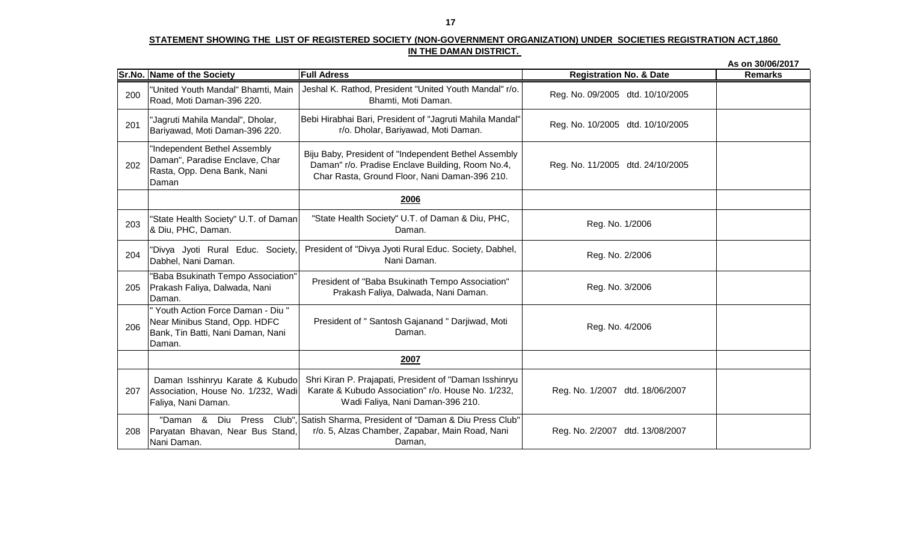|     |                                                                                                                    |                                                                                                                                                           |                                    | As on 30/06/2017 |
|-----|--------------------------------------------------------------------------------------------------------------------|-----------------------------------------------------------------------------------------------------------------------------------------------------------|------------------------------------|------------------|
|     | Sr.No. Name of the Society                                                                                         | <b>Full Adress</b>                                                                                                                                        | <b>Registration No. &amp; Date</b> | <b>Remarks</b>   |
| 200 | "United Youth Mandal" Bhamti, Main<br>Road, Moti Daman-396 220.                                                    | Jeshal K. Rathod, President "United Youth Mandal" r/o.<br>Bhamti, Moti Daman.                                                                             | Reg. No. 09/2005 dtd. 10/10/2005   |                  |
| 201 | "Jagruti Mahila Mandal", Dholar,<br>Bariyawad, Moti Daman-396 220.                                                 | Bebi Hirabhai Bari, President of "Jagruti Mahila Mandal"<br>r/o. Dholar, Bariyawad, Moti Daman.                                                           | Reg. No. 10/2005 dtd. 10/10/2005   |                  |
| 202 | 'Independent Bethel Assembly<br>Daman", Paradise Enclave, Char<br>Rasta, Opp. Dena Bank, Nani<br>Daman             | Biju Baby, President of "Independent Bethel Assembly<br>Daman" r/o. Pradise Enclave Building, Room No.4,<br>Char Rasta, Ground Floor, Nani Daman-396 210. | Reg. No. 11/2005 dtd. 24/10/2005   |                  |
|     |                                                                                                                    | 2006                                                                                                                                                      |                                    |                  |
| 203 | "State Health Society" U.T. of Daman<br>& Diu, PHC, Daman.                                                         | "State Health Society" U.T. of Daman & Diu, PHC,<br>Daman.                                                                                                | Reg. No. 1/2006                    |                  |
| 204 | "Divya Jyoti Rural Educ. Society,<br>Dabhel, Nani Daman.                                                           | President of "Divya Jyoti Rural Educ. Society, Dabhel,<br>Nani Daman.                                                                                     | Reg. No. 2/2006                    |                  |
| 205 | "Baba Bsukinath Tempo Association"<br>Prakash Faliya, Dalwada, Nani<br>Daman.                                      | President of "Baba Bsukinath Tempo Association"<br>Prakash Faliya, Dalwada, Nani Daman.                                                                   | Reg. No. 3/2006                    |                  |
| 206 | " Youth Action Force Daman - Diu "<br>Near Minibus Stand, Opp. HDFC<br>Bank, Tin Batti, Nani Daman, Nani<br>Daman. | President of " Santosh Gajanand " Darjiwad, Moti<br>Daman.                                                                                                | Reg. No. 4/2006                    |                  |
|     |                                                                                                                    | 2007                                                                                                                                                      |                                    |                  |
| 207 | Daman Isshinryu Karate & Kubudo<br>Association, House No. 1/232, Wadi<br>Faliya, Nani Daman.                       | Shri Kiran P. Prajapati, President of "Daman Isshinryu<br>Karate & Kubudo Association" r/o. House No. 1/232,<br>Wadi Faliya, Nani Daman-396 210.          | Reg. No. 1/2007 dtd. 18/06/2007    |                  |
| 208 | "Daman &<br>Paryatan Bhavan, Near Bus Stand,<br>Nani Daman.                                                        | Diu Press Club", Satish Sharma, President of "Daman & Diu Press Club"<br>r/o. 5, Alzas Chamber, Zapabar, Main Road, Nani<br>Daman,                        | dtd. 13/08/2007<br>Reg. No. 2/2007 |                  |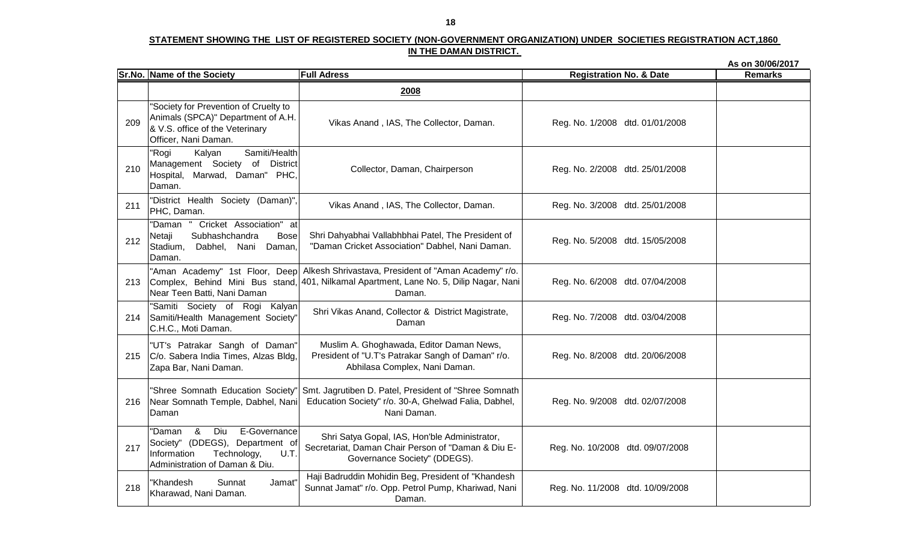|     |                                                                                                                                                            |                                                                                                                                                                                         |                                    | As on 30/06/2017 |
|-----|------------------------------------------------------------------------------------------------------------------------------------------------------------|-----------------------------------------------------------------------------------------------------------------------------------------------------------------------------------------|------------------------------------|------------------|
|     | Sr.No. Name of the Society                                                                                                                                 | <b>Full Adress</b>                                                                                                                                                                      | <b>Registration No. &amp; Date</b> | <b>Remarks</b>   |
|     |                                                                                                                                                            | 2008                                                                                                                                                                                    |                                    |                  |
| 209 | 'Society for Prevention of Cruelty to<br>Animals (SPCA)" Department of A.H.<br>& V.S. office of the Veterinary<br>Officer, Nani Daman.                     | Vikas Anand, IAS, The Collector, Daman.                                                                                                                                                 | Reg. No. 1/2008 dtd. 01/01/2008    |                  |
| 210 | Samiti/Health<br>"Rogi<br>Kalyan<br>Management Society of District<br>Hospital, Marwad, Daman" PHC,<br>Daman.                                              | Collector, Daman, Chairperson                                                                                                                                                           | Reg. No. 2/2008 dtd. 25/01/2008    |                  |
| 211 | "District Health Society (Daman)",<br>PHC, Daman.                                                                                                          | Vikas Anand, IAS, The Collector, Daman.                                                                                                                                                 | Reg. No. 3/2008 dtd. 25/01/2008    |                  |
| 212 | "Daman "<br>Cricket Association" at<br>Subhashchandra<br><b>Bose</b><br>Netaji<br>Stadium, Dabhel, Nani Daman,<br>Daman.                                   | Shri Dahyabhai Vallabhbhai Patel, The President of<br>"Daman Cricket Association" Dabhel, Nani Daman.                                                                                   | Reg. No. 5/2008 dtd. 15/05/2008    |                  |
| 213 | Near Teen Batti, Nani Daman                                                                                                                                | "Aman Academy" 1st Floor, Deep Alkesh Shrivastava, President of "Aman Academy" r/o.<br>Complex, Behind Mini Bus stand, 401, Nilkamal Apartment, Lane No. 5, Dilip Nagar, Nani<br>Daman. | Reg. No. 6/2008 dtd. 07/04/2008    |                  |
| 214 | "Samiti Society of Rogi Kalyan<br>Samiti/Health Management Society"<br>C.H.C., Moti Daman.                                                                 | Shri Vikas Anand, Collector & District Magistrate,<br>Daman                                                                                                                             | Reg. No. 7/2008 dtd. 03/04/2008    |                  |
| 215 | "UT's Patrakar Sangh of Daman"<br>C/o. Sabera India Times, Alzas Bldg,<br>Zapa Bar, Nani Daman.                                                            | Muslim A. Ghoghawada, Editor Daman News,<br>President of "U.T's Patrakar Sangh of Daman" r/o.<br>Abhilasa Complex, Nani Daman.                                                          | Reg. No. 8/2008 dtd. 20/06/2008    |                  |
| 216 | 'Shree Somnath Education Society"<br>Near Somnath Temple, Dabhel, Nani<br>Daman                                                                            | Smt. Jagrutiben D. Patel, President of "Shree Somnath<br>Education Society" r/o. 30-A, Ghelwad Falia, Dabhel,<br>Nani Daman.                                                            | Reg. No. 9/2008 dtd. 02/07/2008    |                  |
| 217 | 8 <sub>o</sub><br>E-Governance<br>Diu<br>'Daman<br>Society" (DDEGS), Department of<br>Information<br>Technology,<br>U.T.<br>Administration of Daman & Diu. | Shri Satya Gopal, IAS, Hon'ble Administrator,<br>Secretariat, Daman Chair Person of "Daman & Diu E-<br>Governance Society" (DDEGS).                                                     | Reg. No. 10/2008 dtd. 09/07/2008   |                  |
| 218 | 'Khandesh<br>Sunnat<br>Jamat"<br>Kharawad, Nani Daman.                                                                                                     | Haji Badruddin Mohidin Beg, President of "Khandesh<br>Sunnat Jamat" r/o. Opp. Petrol Pump, Khariwad, Nani<br>Daman.                                                                     | Reg. No. 11/2008 dtd. 10/09/2008   |                  |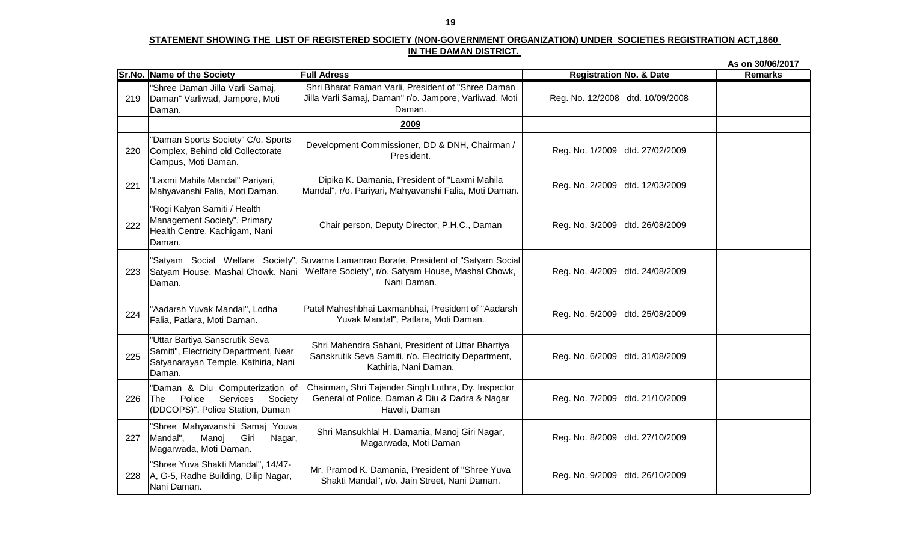|     |                                                                                                                          |                                                                                                                                                            |                                    | As on 30/06/2017 |
|-----|--------------------------------------------------------------------------------------------------------------------------|------------------------------------------------------------------------------------------------------------------------------------------------------------|------------------------------------|------------------|
|     | Sr.No. Name of the Society                                                                                               | <b>Full Adress</b>                                                                                                                                         | <b>Registration No. &amp; Date</b> | <b>Remarks</b>   |
| 219 | "Shree Daman Jilla Varli Samaj,<br>Daman" Varliwad, Jampore, Moti<br>Daman.                                              | Shri Bharat Raman Varli, President of "Shree Daman<br>Jilla Varli Samaj, Daman" r/o. Jampore, Varliwad, Moti<br>Daman.                                     | Reg. No. 12/2008 dtd. 10/09/2008   |                  |
|     |                                                                                                                          | 2009                                                                                                                                                       |                                    |                  |
| 220 | "Daman Sports Society" C/o. Sports<br>Complex, Behind old Collectorate<br>Campus, Moti Daman.                            | Development Commissioner, DD & DNH, Chairman /<br>President.                                                                                               | Reg. No. 1/2009 dtd. 27/02/2009    |                  |
| 221 | "Laxmi Mahila Mandal" Pariyari,<br>Mahyavanshi Falia, Moti Daman.                                                        | Dipika K. Damania, President of "Laxmi Mahila<br>Mandal", r/o. Pariyari, Mahyavanshi Falia, Moti Daman.                                                    | Reg. No. 2/2009 dtd. 12/03/2009    |                  |
| 222 | "Rogi Kalyan Samiti / Health<br>Management Society", Primary<br>Health Centre, Kachigam, Nani<br>Daman.                  | Chair person, Deputy Director, P.H.C., Daman                                                                                                               | Reg. No. 3/2009 dtd. 26/08/2009    |                  |
| 223 | Satyam House, Mashal Chowk, Nani<br>Daman.                                                                               | "Satyam Social Welfare Society", Suvarna Lamanrao Borate, President of "Satyam Social<br>Welfare Society", r/o. Satyam House, Mashal Chowk,<br>Nani Daman. | Reg. No. 4/2009 dtd. 24/08/2009    |                  |
| 224 | "Aadarsh Yuvak Mandal", Lodha<br>Falia, Patlara, Moti Daman.                                                             | Patel Maheshbhai Laxmanbhai, President of "Aadarsh<br>Yuvak Mandal", Patlara, Moti Daman.                                                                  | Reg. No. 5/2009 dtd. 25/08/2009    |                  |
| 225 | "Uttar Bartiya Sanscrutik Seva<br>Samiti", Electricity Department, Near<br>Satyanarayan Temple, Kathiria, Nani<br>Daman. | Shri Mahendra Sahani, President of Uttar Bhartiya<br>Sanskrutik Seva Samiti, r/o. Electricity Department,<br>Kathiria, Nani Daman.                         | Reg. No. 6/2009 dtd. 31/08/2009    |                  |
| 226 | "Daman & Diu Computerization of<br>Police<br>Services<br>Society<br>The<br>(DDCOPS)", Police Station, Daman              | Chairman, Shri Tajender Singh Luthra, Dy. Inspector<br>General of Police, Daman & Diu & Dadra & Nagar<br>Haveli, Daman                                     | Reg. No. 7/2009 dtd. 21/10/2009    |                  |
| 227 | "Shree Mahyavanshi Samaj Youva<br>Mandal",<br>Manoj<br>Giri<br>Nagar,<br>Magarwada, Moti Daman.                          | Shri Mansukhlal H. Damania, Manoj Giri Nagar,<br>Magarwada, Moti Daman                                                                                     | Reg. No. 8/2009 dtd. 27/10/2009    |                  |
| 228 | "Shree Yuva Shakti Mandal", 14/47-<br>A, G-5, Radhe Building, Dilip Nagar,<br>Nani Daman.                                | Mr. Pramod K. Damania, President of "Shree Yuva<br>Shakti Mandal", r/o. Jain Street, Nani Daman.                                                           | Reg. No. 9/2009 dtd. 26/10/2009    |                  |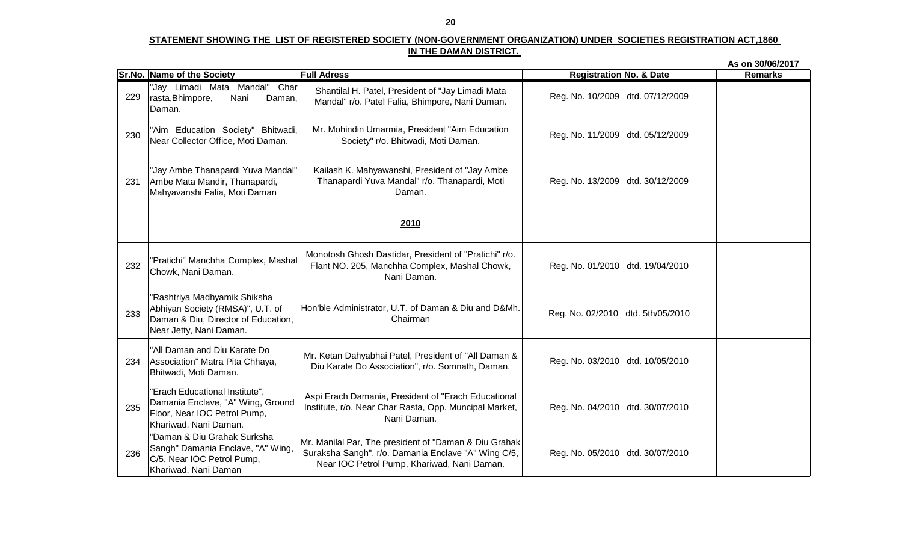|     |                                                                                                                                    |                                                                                                                                                             |                                    | As on 30/06/2017 |
|-----|------------------------------------------------------------------------------------------------------------------------------------|-------------------------------------------------------------------------------------------------------------------------------------------------------------|------------------------------------|------------------|
|     | Sr.No. Name of the Society                                                                                                         | <b>Full Adress</b>                                                                                                                                          | <b>Registration No. &amp; Date</b> | <b>Remarks</b>   |
| 229 | "Jay Limadi Mata Mandal"<br>Char<br>rasta, Bhimpore,<br>Nani<br>Daman,<br>Daman.                                                   | Shantilal H. Patel, President of "Jay Limadi Mata<br>Mandal" r/o. Patel Falia, Bhimpore, Nani Daman.                                                        | Reg. No. 10/2009 dtd. 07/12/2009   |                  |
| 230 | "Aim Education Society" Bhitwadi,<br>Near Collector Office, Moti Daman.                                                            | Mr. Mohindin Umarmia, President "Aim Education<br>Society" r/o. Bhitwadi, Moti Daman.                                                                       | Reg. No. 11/2009 dtd. 05/12/2009   |                  |
| 231 | "Jay Ambe Thanapardi Yuva Mandal"<br>Ambe Mata Mandir, Thanapardi,<br>Mahyavanshi Falia, Moti Daman                                | Kailash K. Mahyawanshi, President of "Jay Ambe<br>Thanapardi Yuva Mandal" r/o. Thanapardi, Moti<br>Daman.                                                   | Reg. No. 13/2009 dtd. 30/12/2009   |                  |
|     |                                                                                                                                    | 2010                                                                                                                                                        |                                    |                  |
| 232 | "Pratichi" Manchha Complex, Mashal<br>Chowk, Nani Daman.                                                                           | Monotosh Ghosh Dastidar, President of "Pratichi" r/o.<br>Flant NO. 205, Manchha Complex, Mashal Chowk,<br>Nani Daman.                                       | Reg. No. 01/2010 dtd. 19/04/2010   |                  |
| 233 | "Rashtriya Madhyamik Shiksha<br>Abhiyan Society (RMSA)", U.T. of<br>Daman & Diu, Director of Education,<br>Near Jetty, Nani Daman. | Hon'ble Administrator, U.T. of Daman & Diu and D&Mh.<br>Chairman                                                                                            | Reg. No. 02/2010 dtd. 5th/05/2010  |                  |
| 234 | "All Daman and Diu Karate Do<br>Association" Matra Pita Chhaya,<br>Bhitwadi, Moti Daman.                                           | Mr. Ketan Dahyabhai Patel, President of "All Daman &<br>Diu Karate Do Association", r/o. Somnath, Daman.                                                    | Reg. No. 03/2010 dtd. 10/05/2010   |                  |
| 235 | "Erach Educational Institute",<br>Damania Enclave, "A" Wing, Ground<br>Floor, Near IOC Petrol Pump,<br>Khariwad, Nani Daman.       | Aspi Erach Damania, President of "Erach Educational<br>Institute, r/o. Near Char Rasta, Opp. Muncipal Market,<br>Nani Daman.                                | Reg. No. 04/2010 dtd. 30/07/2010   |                  |
| 236 | "Daman & Diu Grahak Surksha<br>Sangh" Damania Enclave, "A" Wing,<br>C/5, Near IOC Petrol Pump,<br>Khariwad, Nani Daman             | Mr. Manilal Par, The president of "Daman & Diu Grahak<br>Suraksha Sangh", r/o. Damania Enclave "A" Wing C/5,<br>Near IOC Petrol Pump, Khariwad, Nani Daman. | Reg. No. 05/2010 dtd. 30/07/2010   |                  |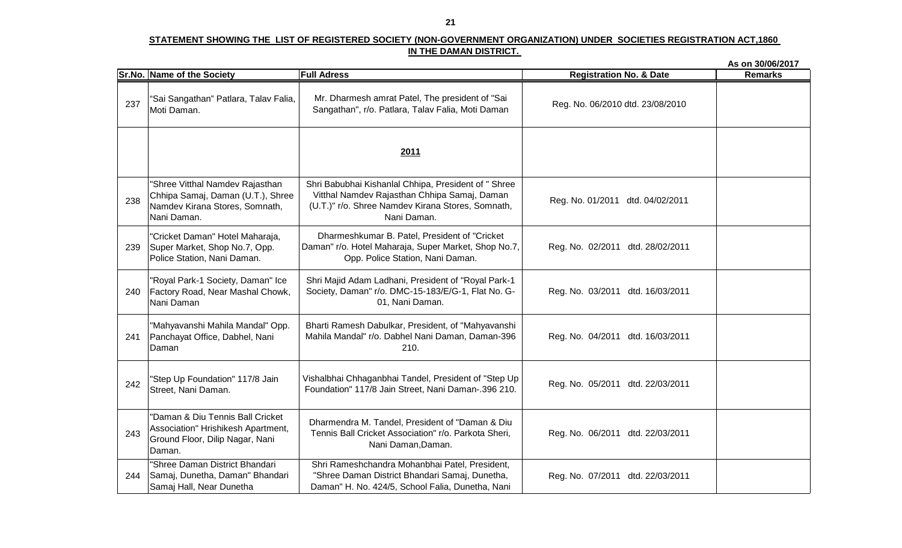|     |                                                                                                                       |                                                                                                                                                                          |                                    | As on 30/06/2017 |
|-----|-----------------------------------------------------------------------------------------------------------------------|--------------------------------------------------------------------------------------------------------------------------------------------------------------------------|------------------------------------|------------------|
|     | Sr.No. Name of the Society                                                                                            | <b>Full Adress</b>                                                                                                                                                       | <b>Registration No. &amp; Date</b> | <b>Remarks</b>   |
| 237 | "Sai Sangathan" Patlara, Talav Falia,<br>Moti Daman.                                                                  | Mr. Dharmesh amrat Patel, The president of "Sai<br>Sangathan", r/o. Patlara, Talav Falia, Moti Daman                                                                     | Reg. No. 06/2010 dtd. 23/08/2010   |                  |
|     |                                                                                                                       | 2011                                                                                                                                                                     |                                    |                  |
| 238 | "Shree Vitthal Namdev Rajasthan<br>Chhipa Samaj, Daman (U.T.), Shree<br>Namdev Kirana Stores, Somnath,<br>Nani Daman. | Shri Babubhai Kishanlal Chhipa, President of " Shree<br>Vitthal Namdev Rajasthan Chhipa Samaj, Daman<br>(U.T.)" r/o. Shree Namdev Kirana Stores, Somnath,<br>Nani Daman. | Reg. No. 01/2011 dtd. 04/02/2011   |                  |
| 239 | "Cricket Daman" Hotel Maharaja,<br>Super Market, Shop No.7, Opp.<br>Police Station, Nani Daman.                       | Dharmeshkumar B. Patel, President of "Cricket<br>Daman" r/o. Hotel Maharaja, Super Market, Shop No.7,<br>Opp. Police Station, Nani Daman.                                | Reg. No. 02/2011 dtd. 28/02/2011   |                  |
| 240 | "Royal Park-1 Society, Daman" Ice<br>Factory Road, Near Mashal Chowk,<br>Nani Daman                                   | Shri Majid Adam Ladhani, President of "Royal Park-1<br>Society, Daman" r/o. DMC-15-183/E/G-1, Flat No. G-<br>01, Nani Daman.                                             | Reg. No. 03/2011 dtd. 16/03/2011   |                  |
| 241 | "Mahyavanshi Mahila Mandal" Opp.<br>Panchayat Office, Dabhel, Nani<br>Daman                                           | Bharti Ramesh Dabulkar, President, of "Mahyavanshi<br>Mahila Mandal" r/o. Dabhel Nani Daman, Daman-396<br>210.                                                           | Reg. No. 04/2011 dtd. 16/03/2011   |                  |
| 242 | "Step Up Foundation" 117/8 Jain<br>Street, Nani Daman.                                                                | Vishalbhai Chhaganbhai Tandel, President of "Step Up<br>Foundation" 117/8 Jain Street, Nani Daman-.396 210.                                                              | Reg. No. 05/2011 dtd. 22/03/2011   |                  |
| 243 | "Daman & Diu Tennis Ball Cricket<br>Association" Hrishikesh Apartment,<br>Ground Floor, Dilip Nagar, Nani<br>Daman.   | Dharmendra M. Tandel, President of "Daman & Diu<br>Tennis Ball Cricket Association" r/o. Parkota Sheri,<br>Nani Daman, Daman.                                            | Reg. No. 06/2011 dtd. 22/03/2011   |                  |
| 244 | "Shree Daman District Bhandari<br>Samaj, Dunetha, Daman" Bhandari<br>Samaj Hall, Near Dunetha                         | Shri Rameshchandra Mohanbhai Patel, President,<br>"Shree Daman District Bhandari Samaj, Dunetha,<br>Daman" H. No. 424/5, School Falia, Dunetha, Nani                     | Reg. No. 07/2011 dtd. 22/03/2011   |                  |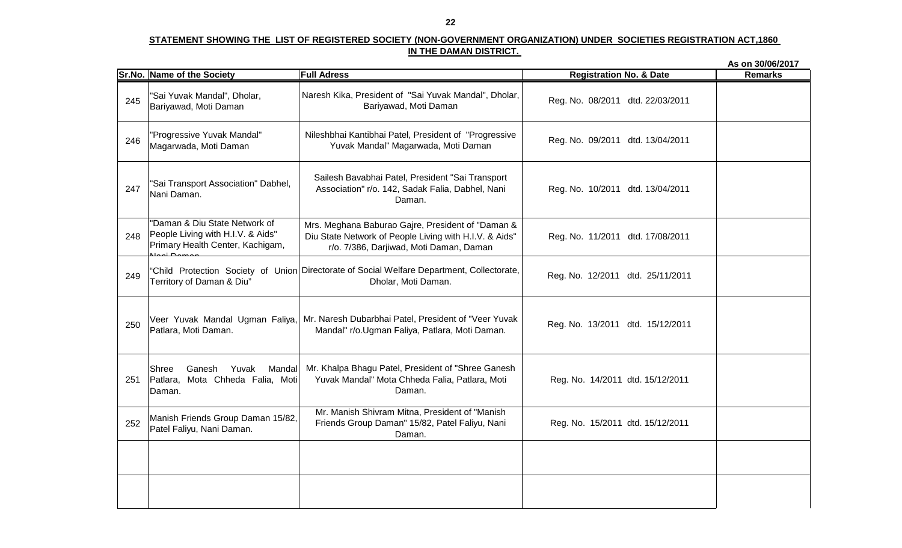|     |                                                                                                        |                                                                                                                                                        |                                    | As on 30/06/2017 |
|-----|--------------------------------------------------------------------------------------------------------|--------------------------------------------------------------------------------------------------------------------------------------------------------|------------------------------------|------------------|
|     | Sr.No. Name of the Society                                                                             | <b>Full Adress</b>                                                                                                                                     | <b>Registration No. &amp; Date</b> | <b>Remarks</b>   |
| 245 | "Sai Yuvak Mandal", Dholar,<br>Bariyawad, Moti Daman                                                   | Naresh Kika, President of "Sai Yuvak Mandal", Dholar,<br>Bariyawad, Moti Daman                                                                         | Reg. No. 08/2011 dtd. 22/03/2011   |                  |
| 246 | "Progressive Yuvak Mandal"<br>Magarwada, Moti Daman                                                    | Nileshbhai Kantibhai Patel, President of "Progressive<br>Yuvak Mandal" Magarwada, Moti Daman                                                           | Reg. No. 09/2011 dtd. 13/04/2011   |                  |
| 247 | "Sai Transport Association" Dabhel,<br>Nani Daman.                                                     | Sailesh Bavabhai Patel, President "Sai Transport<br>Association" r/o. 142, Sadak Falia, Dabhel, Nani<br>Daman.                                         | Reg. No. 10/2011 dtd. 13/04/2011   |                  |
| 248 | "Daman & Diu State Network of<br>People Living with H.I.V. & Aids"<br>Primary Health Center, Kachigam, | Mrs. Meghana Baburao Gajre, President of "Daman &<br>Diu State Network of People Living with H.I.V. & Aids"<br>r/o. 7/386, Darjiwad, Moti Daman, Daman | Reg. No. 11/2011 dtd. 17/08/2011   |                  |
| 249 | Territory of Daman & Diu"                                                                              | "Child Protection Society of Union Directorate of Social Welfare Department, Collectorate,<br>Dholar, Moti Daman.                                      | Reg. No. 12/2011 dtd. 25/11/2011   |                  |
| 250 | Veer Yuvak Mandal Ugman Faliya,<br>Patlara, Moti Daman.                                                | Mr. Naresh Dubarbhai Patel, President of "Veer Yuvak<br>Mandal" r/o. Ugman Faliya, Patlara, Moti Daman.                                                | Reg. No. 13/2011 dtd. 15/12/2011   |                  |
| 251 | Mandal<br>Shree<br>Ganesh<br>Yuvak<br>Patlara, Mota Chheda Falia, Moti<br>Daman.                       | Mr. Khalpa Bhagu Patel, President of "Shree Ganesh<br>Yuvak Mandal" Mota Chheda Falia, Patlara, Moti<br>Daman.                                         | Reg. No. 14/2011 dtd. 15/12/2011   |                  |
| 252 | Manish Friends Group Daman 15/82,<br>Patel Faliyu, Nani Daman.                                         | Mr. Manish Shivram Mitna, President of "Manish<br>Friends Group Daman" 15/82, Patel Faliyu, Nani<br>Daman.                                             | Reg. No. 15/2011 dtd. 15/12/2011   |                  |
|     |                                                                                                        |                                                                                                                                                        |                                    |                  |
|     |                                                                                                        |                                                                                                                                                        |                                    |                  |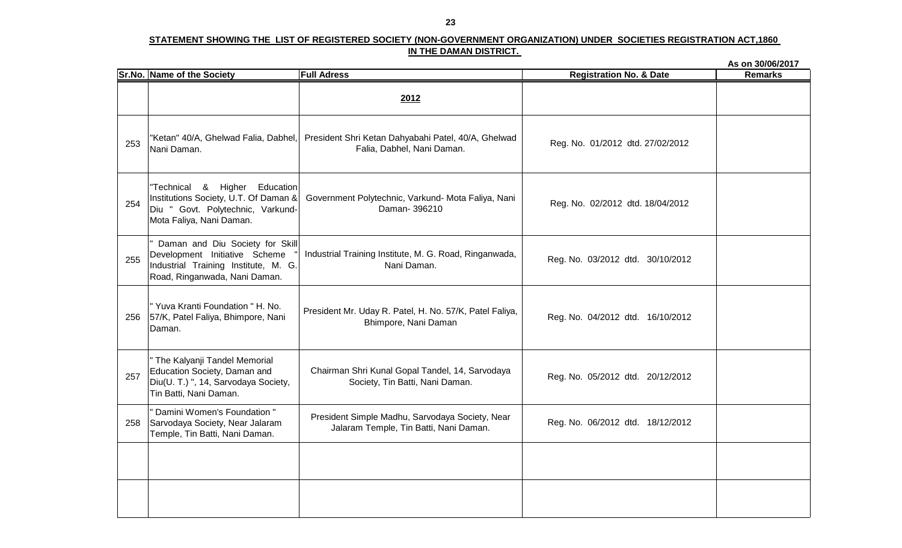|     |                                                                                                                                           |                                                                                           |                                    | As on 30/06/2017 |
|-----|-------------------------------------------------------------------------------------------------------------------------------------------|-------------------------------------------------------------------------------------------|------------------------------------|------------------|
|     | Sr.No. Name of the Society                                                                                                                | <b>Full Adress</b>                                                                        | <b>Registration No. &amp; Date</b> | <b>Remarks</b>   |
|     |                                                                                                                                           | 2012                                                                                      |                                    |                  |
| 253 | "Ketan" 40/A, Ghelwad Falia, Dabhel,<br>Nani Daman.                                                                                       | President Shri Ketan Dahyabahi Patel, 40/A, Ghelwad<br>Falia, Dabhel, Nani Daman.         | Reg. No. 01/2012 dtd. 27/02/2012   |                  |
| 254 | "Technical & Higher Education<br>Institutions Society, U.T. Of Daman &<br>Diu " Govt. Polytechnic, Varkund-<br>Mota Faliya, Nani Daman.   | Government Polytechnic, Varkund- Mota Faliya, Nani<br>Daman-396210                        | Reg. No. 02/2012 dtd. 18/04/2012   |                  |
| 255 | Daman and Diu Society for Skill<br>Development Initiative Scheme<br>Industrial Training Institute, M. G.<br>Road, Ringanwada, Nani Daman. | Industrial Training Institute, M. G. Road, Ringanwada,<br>Nani Daman.                     | Reg. No. 03/2012 dtd. 30/10/2012   |                  |
| 256 | " Yuva Kranti Foundation " H. No.<br>57/K, Patel Faliya, Bhimpore, Nani<br>Daman.                                                         | President Mr. Uday R. Patel, H. No. 57/K, Patel Faliya,<br>Bhimpore, Nani Daman           | Reg. No. 04/2012 dtd. 16/10/2012   |                  |
| 257 | " The Kalyanji Tandel Memorial<br>Education Society, Daman and<br>Diu(U. T.) ", 14, Sarvodaya Society,<br>Tin Batti, Nani Daman.          | Chairman Shri Kunal Gopal Tandel, 14, Sarvodaya<br>Society, Tin Batti, Nani Daman.        | Reg. No. 05/2012 dtd. 20/12/2012   |                  |
| 258 | " Damini Women's Foundation "<br>Sarvodaya Society, Near Jalaram<br>Temple, Tin Batti, Nani Daman.                                        | President Simple Madhu, Sarvodaya Society, Near<br>Jalaram Temple, Tin Batti, Nani Daman. | Reg. No. 06/2012 dtd. 18/12/2012   |                  |
|     |                                                                                                                                           |                                                                                           |                                    |                  |
|     |                                                                                                                                           |                                                                                           |                                    |                  |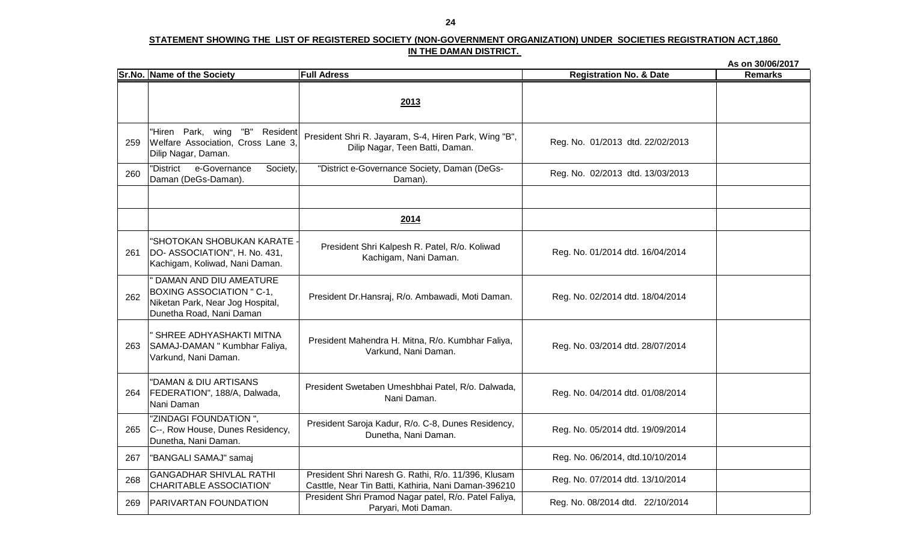|     |                                                                                                                              |                                                                                                             |                                    | As on 30/06/2017 |
|-----|------------------------------------------------------------------------------------------------------------------------------|-------------------------------------------------------------------------------------------------------------|------------------------------------|------------------|
|     | <b>Sr.No. Name of the Society</b>                                                                                            | <b>Full Adress</b>                                                                                          | <b>Registration No. &amp; Date</b> | <b>Remarks</b>   |
|     |                                                                                                                              | 2013                                                                                                        |                                    |                  |
| 259 | "Hiren Park, wing "B" Resident<br>Welfare Association, Cross Lane 3,<br>Dilip Nagar, Daman.                                  | President Shri R. Jayaram, S-4, Hiren Park, Wing "B",<br>Dilip Nagar, Teen Batti, Daman.                    | Reg. No. 01/2013 dtd. 22/02/2013   |                  |
| 260 | e-Governance<br>"District<br>Society,<br>Daman (DeGs-Daman).                                                                 | "District e-Governance Society, Daman (DeGs-<br>Daman).                                                     | Reg. No. 02/2013 dtd. 13/03/2013   |                  |
|     |                                                                                                                              | 2014                                                                                                        |                                    |                  |
| 261 | "SHOTOKAN SHOBUKAN KARATE -<br>DO-ASSOCIATION", H. No. 431,<br>Kachigam, Koliwad, Nani Daman.                                | President Shri Kalpesh R. Patel, R/o. Koliwad<br>Kachigam, Nani Daman.                                      | Reg. No. 01/2014 dtd. 16/04/2014   |                  |
| 262 | " DAMAN AND DIU AMEATURE<br><b>BOXING ASSOCIATION " C-1,</b><br>Niketan Park, Near Jog Hospital,<br>Dunetha Road, Nani Daman | President Dr.Hansraj, R/o. Ambawadi, Moti Daman.                                                            | Reg. No. 02/2014 dtd. 18/04/2014   |                  |
| 263 | " SHREE ADHYASHAKTI MITNA<br>SAMAJ-DAMAN " Kumbhar Faliya,<br>Varkund, Nani Daman.                                           | President Mahendra H. Mitna, R/o. Kumbhar Faliya,<br>Varkund, Nani Daman.                                   | Reg. No. 03/2014 dtd. 28/07/2014   |                  |
| 264 | "DAMAN & DIU ARTISANS<br>FEDERATION", 188/A, Dalwada,<br>Nani Daman                                                          | President Swetaben Umeshbhai Patel, R/o. Dalwada,<br>Nani Daman.                                            | Reg. No. 04/2014 dtd. 01/08/2014   |                  |
| 265 | "ZINDAGI FOUNDATION",<br>C--, Row House, Dunes Residency,<br>Dunetha, Nani Daman.                                            | President Saroja Kadur, R/o. C-8, Dunes Residency,<br>Dunetha, Nani Daman.                                  | Reg. No. 05/2014 dtd. 19/09/2014   |                  |
| 267 | "BANGALI SAMAJ" samaj                                                                                                        |                                                                                                             | Reg. No. 06/2014, dtd.10/10/2014   |                  |
| 268 | <b>GANGADHAR SHIVLAL RATHI</b><br><b>CHARITABLE ASSOCIATION'</b>                                                             | President Shri Naresh G. Rathi, R/o. 11/396, Klusam<br>Casttle, Near Tin Batti, Kathiria, Nani Daman-396210 | Reg. No. 07/2014 dtd. 13/10/2014   |                  |
| 269 | <b>PARIVARTAN FOUNDATION</b>                                                                                                 | President Shri Pramod Nagar patel, R/o. Patel Faliya,<br>Paryari, Moti Daman.                               | Reg. No. 08/2014 dtd. 22/10/2014   |                  |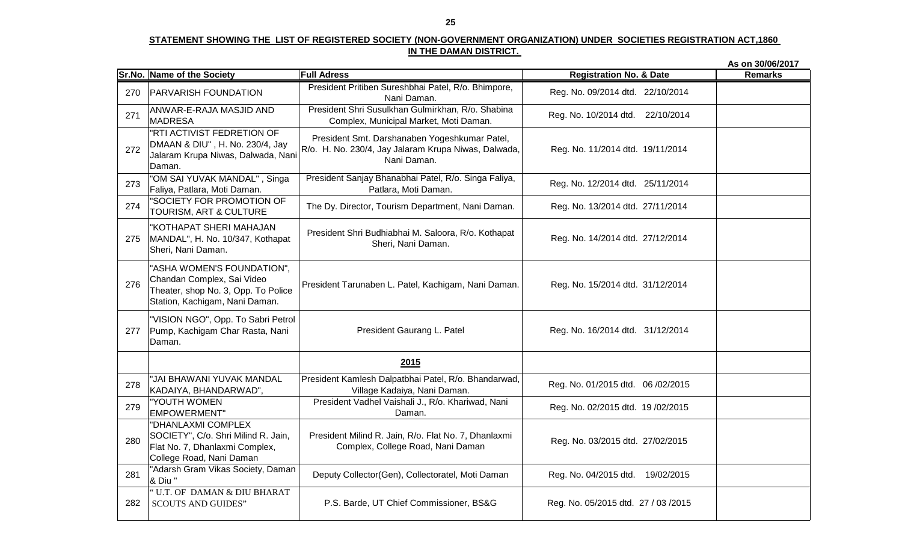|     |                                                                                                                                   |                                                                                                                      |                                      | As on 30/06/2017 |
|-----|-----------------------------------------------------------------------------------------------------------------------------------|----------------------------------------------------------------------------------------------------------------------|--------------------------------------|------------------|
|     | Sr.No. Name of the Society                                                                                                        | <b>Full Adress</b>                                                                                                   | <b>Registration No. &amp; Date</b>   | <b>Remarks</b>   |
| 270 | <b>PARVARISH FOUNDATION</b>                                                                                                       | President Pritiben Sureshbhai Patel, R/o. Bhimpore,<br>Nani Daman.                                                   | Reg. No. 09/2014 dtd. 22/10/2014     |                  |
| 271 | ANWAR-E-RAJA MASJID AND<br><b>MADRESA</b>                                                                                         | President Shri Susulkhan Gulmirkhan, R/o. Shabina<br>Complex, Municipal Market, Moti Daman.                          | Reg. No. 10/2014 dtd. 22/10/2014     |                  |
| 272 | "RTI ACTIVIST FEDRETION OF<br>DMAAN & DIU", H. No. 230/4, Jay<br>Jalaram Krupa Niwas, Dalwada, Nani<br>Daman.                     | President Smt. Darshanaben Yogeshkumar Patel,<br>R/o. H. No. 230/4, Jay Jalaram Krupa Niwas, Dalwada,<br>Nani Daman. | Reg. No. 11/2014 dtd. 19/11/2014     |                  |
| 273 | "OM SAI YUVAK MANDAL", Singa<br>Faliya, Patlara, Moti Daman.                                                                      | President Sanjay Bhanabhai Patel, R/o. Singa Faliya,<br>Patlara, Moti Daman.                                         | Reg. No. 12/2014 dtd. 25/11/2014     |                  |
| 274 | "SOCIETY FOR PROMOTION OF<br>TOURISM, ART & CULTURE                                                                               | The Dy. Director, Tourism Department, Nani Daman.                                                                    | Reg. No. 13/2014 dtd. 27/11/2014     |                  |
| 275 | "KOTHAPAT SHERI MAHAJAN<br>MANDAL", H. No. 10/347, Kothapat<br>Sheri, Nani Daman.                                                 | President Shri Budhiabhai M. Saloora, R/o. Kothapat<br>Sheri, Nani Daman.                                            | Reg. No. 14/2014 dtd. 27/12/2014     |                  |
| 276 | "ASHA WOMEN'S FOUNDATION",<br>Chandan Complex, Sai Video<br>Theater, shop No. 3, Opp. To Police<br>Station, Kachigam, Nani Daman. | President Tarunaben L. Patel, Kachigam, Nani Daman.                                                                  | Reg. No. 15/2014 dtd. 31/12/2014     |                  |
| 277 | "VISION NGO", Opp. To Sabri Petrol<br>Pump, Kachigam Char Rasta, Nani<br>Daman.                                                   | President Gaurang L. Patel                                                                                           | Reg. No. 16/2014 dtd. 31/12/2014     |                  |
|     |                                                                                                                                   | 2015                                                                                                                 |                                      |                  |
| 278 | "JAI BHAWANI YUVAK MANDAL<br>KADAIYA, BHANDARWAD",                                                                                | President Kamlesh Dalpatbhai Patel, R/o. Bhandarwad,<br>Village Kadaiya, Nani Daman.                                 | Reg. No. 01/2015 dtd. 06/02/2015     |                  |
| 279 | "YOUTH WOMEN<br><b>EMPOWERMENT</b> "                                                                                              | President Vadhel Vaishali J., R/o. Khariwad, Nani<br>Daman.                                                          | Reg. No. 02/2015 dtd. 19/02/2015     |                  |
| 280 | "DHANLAXMI COMPLEX<br>SOCIETY", C/o. Shri Milind R. Jain,<br>Flat No. 7, Dhanlaxmi Complex,<br>College Road, Nani Daman           | President Milind R. Jain, R/o. Flat No. 7, Dhanlaxmi<br>Complex, College Road, Nani Daman                            | Reg. No. 03/2015 dtd. 27/02/2015     |                  |
| 281 | "Adarsh Gram Vikas Society, Daman<br>& Diu "                                                                                      | Deputy Collector(Gen), Collectoratel, Moti Daman                                                                     | Reg. No. 04/2015 dtd. 19/02/2015     |                  |
| 282 | "U.T. OF DAMAN & DIU BHARAT<br><b>SCOUTS AND GUIDES"</b>                                                                          | P.S. Barde, UT Chief Commissioner, BS&G                                                                              | Reg. No. 05/2015 dtd. 27 / 03 / 2015 |                  |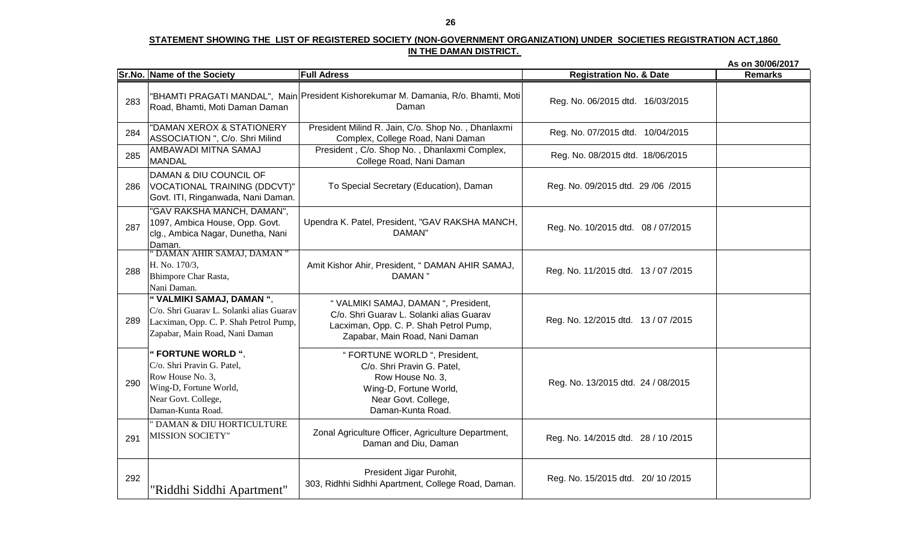|     |                                                                                                                                                 |                                                                                                                                                              |                                      | As on 30/06/2017 |
|-----|-------------------------------------------------------------------------------------------------------------------------------------------------|--------------------------------------------------------------------------------------------------------------------------------------------------------------|--------------------------------------|------------------|
|     | Sr.No. Name of the Society                                                                                                                      | <b>Full Adress</b>                                                                                                                                           | <b>Registration No. &amp; Date</b>   | <b>Remarks</b>   |
| 283 | Road, Bhamti, Moti Daman Daman                                                                                                                  | "BHAMTI PRAGATI MANDAL", Main President Kishorekumar M. Damania, R/o. Bhamti, Moti<br>Daman                                                                  | Reg. No. 06/2015 dtd. 16/03/2015     |                  |
| 284 | "DAMAN XEROX & STATIONERY<br>ASSOCIATION ", C/o. Shri Milind                                                                                    | President Milind R. Jain, C/o. Shop No., Dhanlaxmi<br>Complex, College Road, Nani Daman                                                                      | Reg. No. 07/2015 dtd. 10/04/2015     |                  |
| 285 | AMBAWADI MITNA SAMAJ<br><b>MANDAL</b>                                                                                                           | President, C/o. Shop No., Dhanlaxmi Complex,<br>College Road, Nani Daman                                                                                     | Reg. No. 08/2015 dtd. 18/06/2015     |                  |
| 286 | DAMAN & DIU COUNCIL OF<br>VOCATIONAL TRAINING (DDCVT)"<br>Govt. ITI, Ringanwada, Nani Daman.                                                    | To Special Secretary (Education), Daman                                                                                                                      | Reg. No. 09/2015 dtd. 29 /06 /2015   |                  |
| 287 | "GAV RAKSHA MANCH, DAMAN",<br>1097, Ambica House, Opp. Govt.<br>clg., Ambica Nagar, Dunetha, Nani<br>Daman.                                     | Upendra K. Patel, President, "GAV RAKSHA MANCH,<br>DAMAN"                                                                                                    | Reg. No. 10/2015 dtd. 08 / 07/2015   |                  |
| 288 | "DAMAN AHIR SAMAJ, DAMAN"<br>H. No. 170/3,<br>Bhimpore Char Rasta,<br>Nani Daman.                                                               | Amit Kishor Ahir, President, "DAMAN AHIR SAMAJ,<br>DAMAN <sup>"</sup>                                                                                        | Reg. No. 11/2015 dtd. 13 / 07 / 2015 |                  |
| 289 | "VALMIKI SAMAJ, DAMAN",<br>C/o. Shri Guarav L. Solanki alias Guarav<br>Lacximan, Opp. C. P. Shah Petrol Pump,<br>Zapabar, Main Road, Nani Daman | " VALMIKI SAMAJ, DAMAN ", President,<br>C/o. Shri Guarav L. Solanki alias Guarav<br>Lacximan, Opp. C. P. Shah Petrol Pump,<br>Zapabar, Main Road, Nani Daman | Reg. No. 12/2015 dtd. 13 / 07 / 2015 |                  |
| 290 | " FORTUNE WORLD",<br>C/o. Shri Pravin G. Patel,<br>Row House No. 3,<br>Wing-D, Fortune World,<br>Near Govt. College,<br>Daman-Kunta Road.       | " FORTUNE WORLD ", President,<br>C/o. Shri Pravin G. Patel,<br>Row House No. 3,<br>Wing-D, Fortune World,<br>Near Govt. College,<br>Daman-Kunta Road.        | Reg. No. 13/2015 dtd. 24 / 08/2015   |                  |
| 291 | " DAMAN & DIU HORTICULTURE<br><b>MISSION SOCIETY"</b>                                                                                           | Zonal Agriculture Officer, Agriculture Department,<br>Daman and Diu, Daman                                                                                   | Reg. No. 14/2015 dtd. 28 / 10 / 2015 |                  |
| 292 | "Riddhi Siddhi Apartment"                                                                                                                       | President Jigar Purohit,<br>303, Ridhhi Sidhhi Apartment, College Road, Daman.                                                                               | Reg. No. 15/2015 dtd. 20/ 10 / 2015  |                  |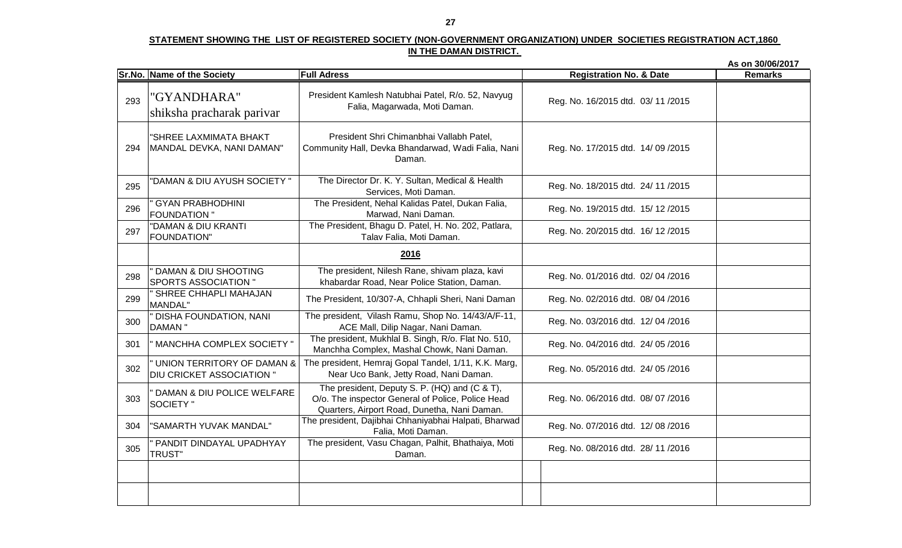|     |                                                                |                                                                                                                                                    |                                    | As on 30/06/2017 |
|-----|----------------------------------------------------------------|----------------------------------------------------------------------------------------------------------------------------------------------------|------------------------------------|------------------|
|     | Sr.No. Name of the Society                                     | <b>Full Adress</b>                                                                                                                                 | <b>Registration No. &amp; Date</b> | <b>Remarks</b>   |
| 293 | "GYANDHARA"<br>shiksha pracharak parivar                       | President Kamlesh Natubhai Patel, R/o. 52, Navyug<br>Falia, Magarwada, Moti Daman.                                                                 | Reg. No. 16/2015 dtd. 03/11/2015   |                  |
| 294 | "SHREE LAXMIMATA BHAKT<br>MANDAL DEVKA, NANI DAMAN"            | President Shri Chimanbhai Vallabh Patel,<br>Community Hall, Devka Bhandarwad, Wadi Falia, Nani<br>Daman.                                           | Reg. No. 17/2015 dtd. 14/09/2015   |                  |
| 295 | "DAMAN & DIU AYUSH SOCIETY "                                   | The Director Dr. K. Y. Sultan, Medical & Health<br>Services, Moti Daman.                                                                           | Reg. No. 18/2015 dtd. 24/ 11/2015  |                  |
| 296 | <b>GYAN PRABHODHINI</b><br><b>FOUNDATION "</b>                 | The President, Nehal Kalidas Patel, Dukan Falia,<br>Marwad, Nani Daman.                                                                            | Reg. No. 19/2015 dtd. 15/12/2015   |                  |
| 297 | "DAMAN & DIU KRANTI<br>FOUNDATION"                             | The President, Bhagu D. Patel, H. No. 202, Patlara,<br>Talav Falia, Moti Daman.                                                                    | Reg. No. 20/2015 dtd. 16/12/2015   |                  |
|     |                                                                | 2016                                                                                                                                               |                                    |                  |
| 298 | <b>DAMAN &amp; DIU SHOOTING</b><br><b>SPORTS ASSOCIATION "</b> | The president, Nilesh Rane, shivam plaza, kavi<br>khabardar Road, Near Police Station, Daman.                                                      | Reg. No. 01/2016 dtd. 02/04/2016   |                  |
| 299 | ' SHREE CHHAPLI MAHAJAN<br><b>MANDAL"</b>                      | The President, 10/307-A, Chhapli Sheri, Nani Daman                                                                                                 | Reg. No. 02/2016 dtd. 08/ 04 /2016 |                  |
| 300 | " DISHA FOUNDATION, NANI<br><b>DAMAN</b> "                     | The president, Vilash Ramu, Shop No. 14/43/A/F-11,<br>ACE Mall, Dilip Nagar, Nani Daman.                                                           | Reg. No. 03/2016 dtd. 12/04/2016   |                  |
| 301 | " MANCHHA COMPLEX SOCIETY "                                    | The president, Mukhlal B. Singh, R/o. Flat No. 510,<br>Manchha Complex, Mashal Chowk, Nani Daman.                                                  | Reg. No. 04/2016 dtd. 24/ 05/2016  |                  |
| 302 | UNION TERRITORY OF DAMAN &<br><b>DIU CRICKET ASSOCIATION "</b> | The president, Hemraj Gopal Tandel, 1/11, K.K. Marg,<br>Near Uco Bank, Jetty Road, Nani Daman.                                                     | Reg. No. 05/2016 dtd. 24/05/2016   |                  |
| 303 | DAMAN & DIU POLICE WELFARE<br><b>SOCIETY</b> "                 | The president, Deputy S. P. (HQ) and (C & T),<br>O/o. The inspector General of Police, Police Head<br>Quarters, Airport Road, Dunetha, Nani Daman. | Reg. No. 06/2016 dtd. 08/ 07 /2016 |                  |
| 304 | "SAMARTH YUVAK MANDAL"                                         | The president, Dajibhai Chhaniyabhai Halpati, Bharwad<br>Falia, Moti Daman.                                                                        | Reg. No. 07/2016 dtd. 12/08/2016   |                  |
| 305 | PANDIT DINDAYAL UPADHYAY<br><b>TRUST"</b>                      | The president, Vasu Chagan, Palhit, Bhathaiya, Moti<br>Daman.                                                                                      | Reg. No. 08/2016 dtd. 28/11/2016   |                  |
|     |                                                                |                                                                                                                                                    |                                    |                  |
|     |                                                                |                                                                                                                                                    |                                    |                  |